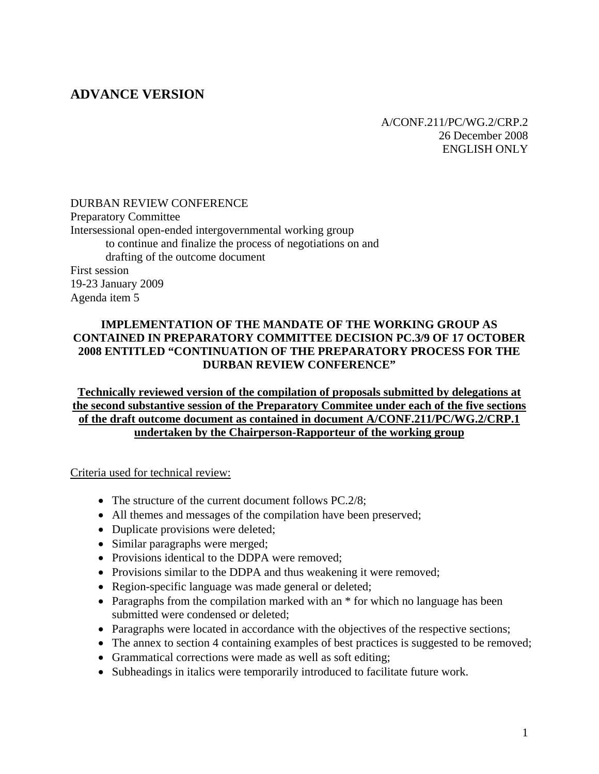# **ADVANCE VERSION**

A/CONF.211/PC/WG.2/CRP.2 26 December 2008 ENGLISH ONLY

### DURBAN REVIEW CONFERENCE

Preparatory Committee Intersessional open-ended intergovernmental working group to continue and finalize the process of negotiations on and drafting of the outcome document First session 19-23 January 2009 Agenda item 5

#### **IMPLEMENTATION OF THE MANDATE OF THE WORKING GROUP AS CONTAINED IN PREPARATORY COMMITTEE DECISION PC.3/9 OF 17 OCTOBER 2008 ENTITLED "CONTINUATION OF THE PREPARATORY PROCESS FOR THE DURBAN REVIEW CONFERENCE"**

**Technically reviewed version of the compilation of proposals submitted by delegations at the second substantive session of the Preparatory Commitee under each of the five sections of the draft outcome document as contained in document A/CONF.211/PC/WG.2/CRP.1 undertaken by the Chairperson-Rapporteur of the working group**

Criteria used for technical review:

- The structure of the current document follows PC.2/8;
- All themes and messages of the compilation have been preserved;
- Duplicate provisions were deleted;
- Similar paragraphs were merged;
- Provisions identical to the DDPA were removed;
- Provisions similar to the DDPA and thus weakening it were removed;
- Region-specific language was made general or deleted;
- Paragraphs from the compilation marked with an  $*$  for which no language has been submitted were condensed or deleted;
- Paragraphs were located in accordance with the objectives of the respective sections;
- The annex to section 4 containing examples of best practices is suggested to be removed;
- Grammatical corrections were made as well as soft editing;
- Subheadings in italics were temporarily introduced to facilitate future work.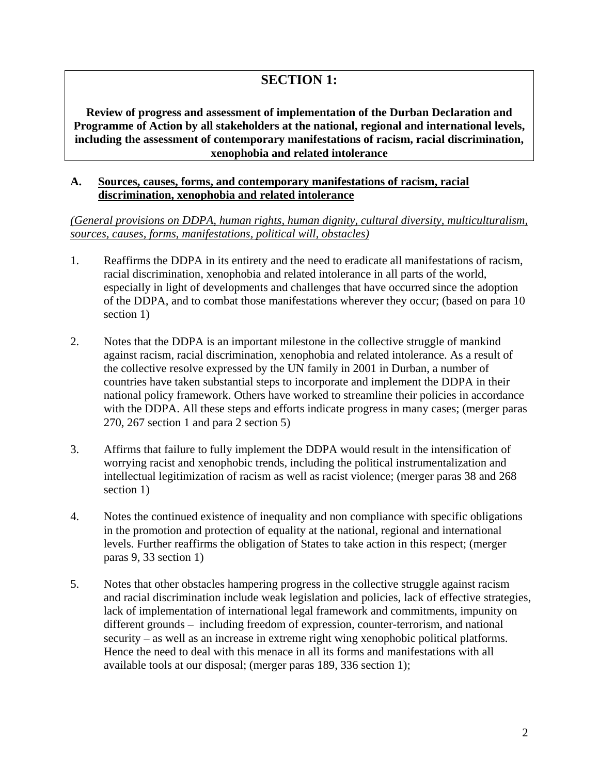# **SECTION 1:**

**Review of progress and assessment of implementation of the Durban Declaration and Programme of Action by all stakeholders at the national, regional and international levels, including the assessment of contemporary manifestations of racism, racial discrimination, xenophobia and related intolerance** 

#### **A. Sources, causes, forms, and contemporary manifestations of racism, racial discrimination, xenophobia and related intolerance**

*(General provisions on DDPA, human rights, human dignity, cultural diversity, multiculturalism, sources, causes, forms, manifestations, political will, obstacles)*

- 1. Reaffirms the DDPA in its entirety and the need to eradicate all manifestations of racism, racial discrimination, xenophobia and related intolerance in all parts of the world, especially in light of developments and challenges that have occurred since the adoption of the DDPA, and to combat those manifestations wherever they occur; (based on para 10 section 1)
- 2. Notes that the DDPA is an important milestone in the collective struggle of mankind against racism, racial discrimination, xenophobia and related intolerance. As a result of the collective resolve expressed by the UN family in 2001 in Durban, a number of countries have taken substantial steps to incorporate and implement the DDPA in their national policy framework. Others have worked to streamline their policies in accordance with the DDPA. All these steps and efforts indicate progress in many cases; (merger paras 270, 267 section 1 and para 2 section 5)
- 3. Affirms that failure to fully implement the DDPA would result in the intensification of worrying racist and xenophobic trends, including the political instrumentalization and intellectual legitimization of racism as well as racist violence; (merger paras 38 and 268 section 1)
- 4. Notes the continued existence of inequality and non compliance with specific obligations in the promotion and protection of equality at the national, regional and international levels. Further reaffirms the obligation of States to take action in this respect; (merger paras 9, 33 section 1)
- 5. Notes that other obstacles hampering progress in the collective struggle against racism and racial discrimination include weak legislation and policies, lack of effective strategies, lack of implementation of international legal framework and commitments, impunity on different grounds – including freedom of expression, counter-terrorism, and national security – as well as an increase in extreme right wing xenophobic political platforms. Hence the need to deal with this menace in all its forms and manifestations with all available tools at our disposal; (merger paras 189, 336 section 1);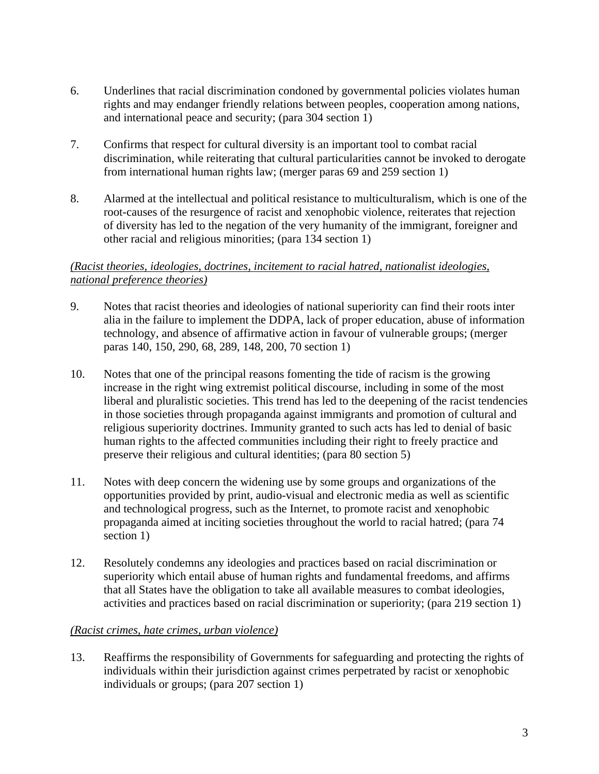- 6. Underlines that racial discrimination condoned by governmental policies violates human rights and may endanger friendly relations between peoples, cooperation among nations, and international peace and security; (para 304 section 1)
- 7. Confirms that respect for cultural diversity is an important tool to combat racial discrimination, while reiterating that cultural particularities cannot be invoked to derogate from international human rights law; (merger paras 69 and 259 section 1)
- 8. Alarmed at the intellectual and political resistance to multiculturalism, which is one of the root-causes of the resurgence of racist and xenophobic violence, reiterates that rejection of diversity has led to the negation of the very humanity of the immigrant, foreigner and other racial and religious minorities; (para 134 section 1)

# *(Racist theories, ideologies, doctrines, incitement to racial hatred, nationalist ideologies, national preference theories)*

- 9. Notes that racist theories and ideologies of national superiority can find their roots inter alia in the failure to implement the DDPA, lack of proper education, abuse of information technology, and absence of affirmative action in favour of vulnerable groups; (merger paras 140, 150, 290, 68, 289, 148, 200, 70 section 1)
- 10. Notes that one of the principal reasons fomenting the tide of racism is the growing increase in the right wing extremist political discourse, including in some of the most liberal and pluralistic societies. This trend has led to the deepening of the racist tendencies in those societies through propaganda against immigrants and promotion of cultural and religious superiority doctrines. Immunity granted to such acts has led to denial of basic human rights to the affected communities including their right to freely practice and preserve their religious and cultural identities; (para 80 section 5)
- 11. Notes with deep concern the widening use by some groups and organizations of the opportunities provided by print, audio-visual and electronic media as well as scientific and technological progress, such as the Internet, to promote racist and xenophobic propaganda aimed at inciting societies throughout the world to racial hatred; (para 74 section 1)
- 12. Resolutely condemns any ideologies and practices based on racial discrimination or superiority which entail abuse of human rights and fundamental freedoms, and affirms that all States have the obligation to take all available measures to combat ideologies, activities and practices based on racial discrimination or superiority; (para 219 section 1)

# *(Racist crimes, hate crimes, urban violence)*

13. Reaffirms the responsibility of Governments for safeguarding and protecting the rights of individuals within their jurisdiction against crimes perpetrated by racist or xenophobic individuals or groups; (para 207 section 1)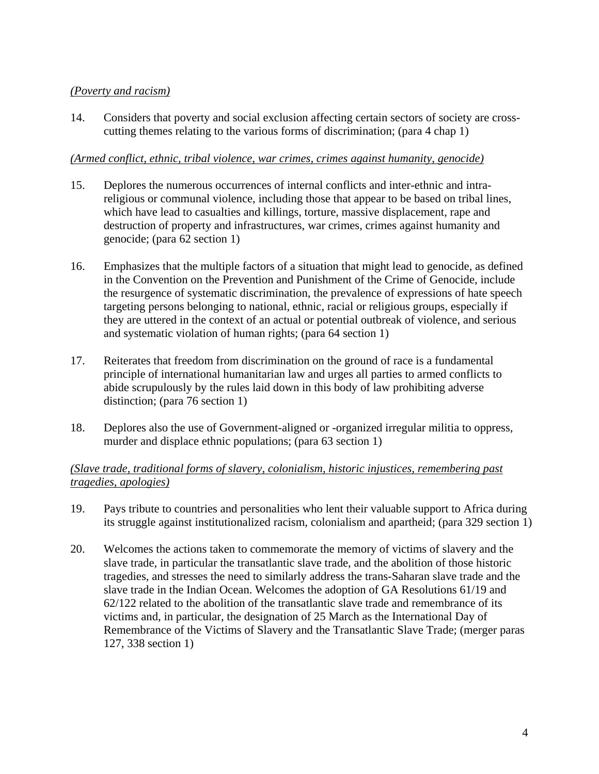# *(Poverty and racism)*

14. Considers that poverty and social exclusion affecting certain sectors of society are crosscutting themes relating to the various forms of discrimination; (para 4 chap 1)

### *(Armed conflict, ethnic, tribal violence, war crimes, crimes against humanity, genocide)*

- 15. Deplores the numerous occurrences of internal conflicts and inter-ethnic and intrareligious or communal violence, including those that appear to be based on tribal lines, which have lead to casualties and killings, torture, massive displacement, rape and destruction of property and infrastructures, war crimes, crimes against humanity and genocide; (para 62 section 1)
- 16. Emphasizes that the multiple factors of a situation that might lead to genocide, as defined in the Convention on the Prevention and Punishment of the Crime of Genocide, include the resurgence of systematic discrimination, the prevalence of expressions of hate speech targeting persons belonging to national, ethnic, racial or religious groups, especially if they are uttered in the context of an actual or potential outbreak of violence, and serious and systematic violation of human rights; (para 64 section 1)
- 17. Reiterates that freedom from discrimination on the ground of race is a fundamental principle of international humanitarian law and urges all parties to armed conflicts to abide scrupulously by the rules laid down in this body of law prohibiting adverse distinction; (para 76 section 1)
- 18. Deplores also the use of Government-aligned or -organized irregular militia to oppress, murder and displace ethnic populations; (para 63 section 1)

# *(Slave trade, traditional forms of slavery, colonialism, historic injustices, remembering past tragedies, apologies)*

- 19. Pays tribute to countries and personalities who lent their valuable support to Africa during its struggle against institutionalized racism, colonialism and apartheid; (para 329 section 1)
- 20. Welcomes the actions taken to commemorate the memory of victims of slavery and the slave trade, in particular the transatlantic slave trade, and the abolition of those historic tragedies, and stresses the need to similarly address the trans-Saharan slave trade and the slave trade in the Indian Ocean. Welcomes the adoption of GA Resolutions 61/19 and 62/122 related to the abolition of the transatlantic slave trade and remembrance of its victims and, in particular, the designation of 25 March as the International Day of Remembrance of the Victims of Slavery and the Transatlantic Slave Trade; (merger paras 127, 338 section 1)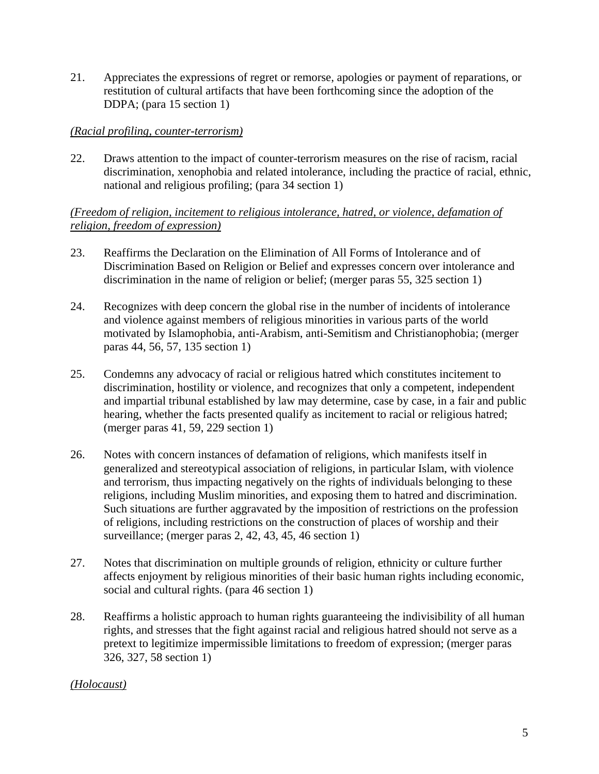21. Appreciates the expressions of regret or remorse, apologies or payment of reparations, or restitution of cultural artifacts that have been forthcoming since the adoption of the DDPA; (para 15 section 1)

### *(Racial profiling, counter-terrorism)*

22. Draws attention to the impact of counter-terrorism measures on the rise of racism, racial discrimination, xenophobia and related intolerance, including the practice of racial, ethnic, national and religious profiling; (para 34 section 1)

*(Freedom of religion, incitement to religious intolerance, hatred, or violence, defamation of religion, freedom of expression)*

- 23. Reaffirms the Declaration on the Elimination of All Forms of Intolerance and of Discrimination Based on Religion or Belief and expresses concern over intolerance and discrimination in the name of religion or belief; (merger paras 55, 325 section 1)
- 24. Recognizes with deep concern the global rise in the number of incidents of intolerance and violence against members of religious minorities in various parts of the world motivated by Islamophobia, anti-Arabism, anti-Semitism and Christianophobia; (merger paras 44, 56, 57, 135 section 1)
- 25. Condemns any advocacy of racial or religious hatred which constitutes incitement to discrimination, hostility or violence, and recognizes that only a competent, independent and impartial tribunal established by law may determine, case by case, in a fair and public hearing, whether the facts presented qualify as incitement to racial or religious hatred; (merger paras 41, 59, 229 section 1)
- 26. Notes with concern instances of defamation of religions, which manifests itself in generalized and stereotypical association of religions, in particular Islam, with violence and terrorism, thus impacting negatively on the rights of individuals belonging to these religions, including Muslim minorities, and exposing them to hatred and discrimination. Such situations are further aggravated by the imposition of restrictions on the profession of religions, including restrictions on the construction of places of worship and their surveillance; (merger paras 2, 42, 43, 45, 46 section 1)
- 27. Notes that discrimination on multiple grounds of religion, ethnicity or culture further affects enjoyment by religious minorities of their basic human rights including economic, social and cultural rights. (para 46 section 1)
- 28. Reaffirms a holistic approach to human rights guaranteeing the indivisibility of all human rights, and stresses that the fight against racial and religious hatred should not serve as a pretext to legitimize impermissible limitations to freedom of expression; (merger paras 326, 327, 58 section 1)

# *(Holocaust)*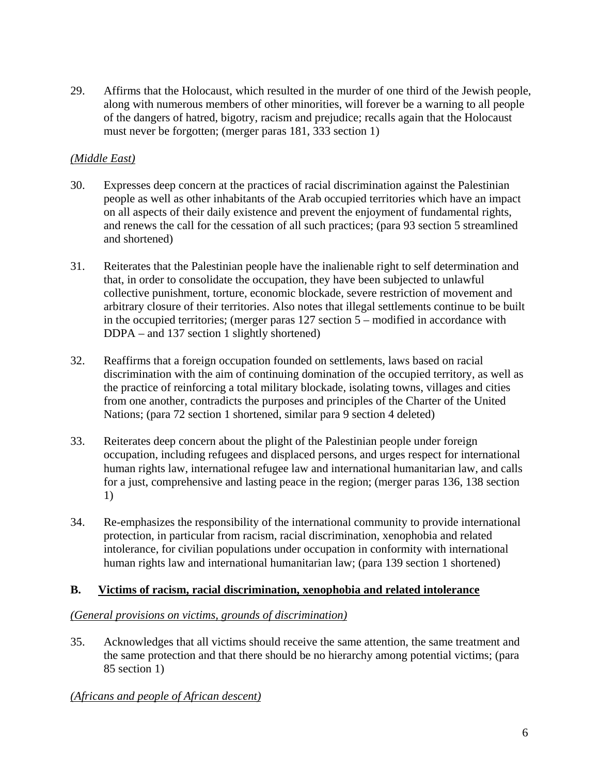29. Affirms that the Holocaust, which resulted in the murder of one third of the Jewish people, along with numerous members of other minorities, will forever be a warning to all people of the dangers of hatred, bigotry, racism and prejudice; recalls again that the Holocaust must never be forgotten; (merger paras 181, 333 section 1)

# *(Middle East)*

- 30. Expresses deep concern at the practices of racial discrimination against the Palestinian people as well as other inhabitants of the Arab occupied territories which have an impact on all aspects of their daily existence and prevent the enjoyment of fundamental rights, and renews the call for the cessation of all such practices; (para 93 section 5 streamlined and shortened)
- 31. Reiterates that the Palestinian people have the inalienable right to self determination and that, in order to consolidate the occupation, they have been subjected to unlawful collective punishment, torture, economic blockade, severe restriction of movement and arbitrary closure of their territories. Also notes that illegal settlements continue to be built in the occupied territories; (merger paras 127 section 5 – modified in accordance with DDPA – and 137 section 1 slightly shortened)
- 32. Reaffirms that a foreign occupation founded on settlements, laws based on racial discrimination with the aim of continuing domination of the occupied territory, as well as the practice of reinforcing a total military blockade, isolating towns, villages and cities from one another, contradicts the purposes and principles of the Charter of the United Nations; (para 72 section 1 shortened, similar para 9 section 4 deleted)
- 33. Reiterates deep concern about the plight of the Palestinian people under foreign occupation, including refugees and displaced persons, and urges respect for international human rights law, international refugee law and international humanitarian law, and calls for a just, comprehensive and lasting peace in the region; (merger paras 136, 138 section 1)
- 34. Re-emphasizes the responsibility of the international community to provide international protection, in particular from racism, racial discrimination, xenophobia and related intolerance, for civilian populations under occupation in conformity with international human rights law and international humanitarian law; (para 139 section 1 shortened)

# **B. Victims of racism, racial discrimination, xenophobia and related intolerance**

# *(General provisions on victims, grounds of discrimination)*

35. Acknowledges that all victims should receive the same attention, the same treatment and the same protection and that there should be no hierarchy among potential victims; (para 85 section 1)

# *(Africans and people of African descent)*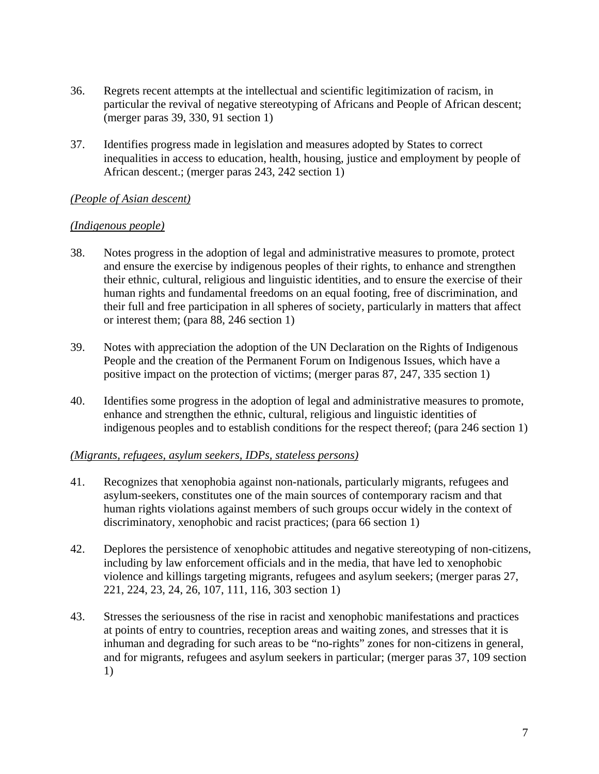- 36. Regrets recent attempts at the intellectual and scientific legitimization of racism, in particular the revival of negative stereotyping of Africans and People of African descent; (merger paras 39, 330, 91 section 1)
- 37. Identifies progress made in legislation and measures adopted by States to correct inequalities in access to education, health, housing, justice and employment by people of African descent.; (merger paras 243, 242 section 1)

### *(People of Asian descent)*

### *(Indigenous people)*

- 38. Notes progress in the adoption of legal and administrative measures to promote, protect and ensure the exercise by indigenous peoples of their rights, to enhance and strengthen their ethnic, cultural, religious and linguistic identities, and to ensure the exercise of their human rights and fundamental freedoms on an equal footing, free of discrimination, and their full and free participation in all spheres of society, particularly in matters that affect or interest them; (para 88, 246 section 1)
- 39. Notes with appreciation the adoption of the UN Declaration on the Rights of Indigenous People and the creation of the Permanent Forum on Indigenous Issues, which have a positive impact on the protection of victims; (merger paras 87, 247, 335 section 1)
- 40. Identifies some progress in the adoption of legal and administrative measures to promote, enhance and strengthen the ethnic, cultural, religious and linguistic identities of indigenous peoples and to establish conditions for the respect thereof; (para 246 section 1)

# *(Migrants, refugees, asylum seekers, IDPs, stateless persons)*

- 41. Recognizes that xenophobia against non-nationals, particularly migrants, refugees and asylum-seekers, constitutes one of the main sources of contemporary racism and that human rights violations against members of such groups occur widely in the context of discriminatory, xenophobic and racist practices; (para 66 section 1)
- 42. Deplores the persistence of xenophobic attitudes and negative stereotyping of non-citizens, including by law enforcement officials and in the media, that have led to xenophobic violence and killings targeting migrants, refugees and asylum seekers; (merger paras 27, 221, 224, 23, 24, 26, 107, 111, 116, 303 section 1)
- 43. Stresses the seriousness of the rise in racist and xenophobic manifestations and practices at points of entry to countries, reception areas and waiting zones, and stresses that it is inhuman and degrading for such areas to be "no-rights" zones for non-citizens in general, and for migrants, refugees and asylum seekers in particular; (merger paras 37, 109 section 1)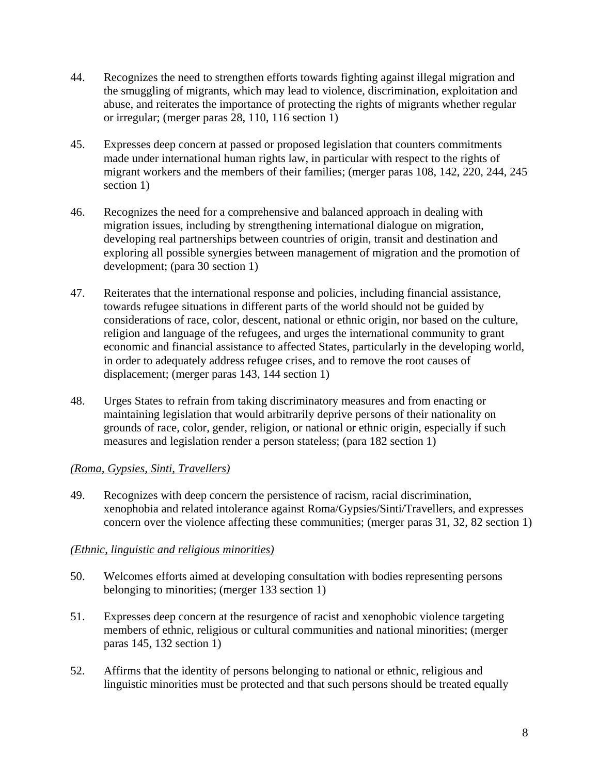- 44. Recognizes the need to strengthen efforts towards fighting against illegal migration and the smuggling of migrants, which may lead to violence, discrimination, exploitation and abuse, and reiterates the importance of protecting the rights of migrants whether regular or irregular; (merger paras 28, 110, 116 section 1)
- 45. Expresses deep concern at passed or proposed legislation that counters commitments made under international human rights law, in particular with respect to the rights of migrant workers and the members of their families; (merger paras 108, 142, 220, 244, 245 section 1)
- 46. Recognizes the need for a comprehensive and balanced approach in dealing with migration issues, including by strengthening international dialogue on migration, developing real partnerships between countries of origin, transit and destination and exploring all possible synergies between management of migration and the promotion of development; (para 30 section 1)
- 47. Reiterates that the international response and policies, including financial assistance, towards refugee situations in different parts of the world should not be guided by considerations of race, color, descent, national or ethnic origin, nor based on the culture, religion and language of the refugees, and urges the international community to grant economic and financial assistance to affected States, particularly in the developing world, in order to adequately address refugee crises, and to remove the root causes of displacement; (merger paras 143, 144 section 1)
- 48. Urges States to refrain from taking discriminatory measures and from enacting or maintaining legislation that would arbitrarily deprive persons of their nationality on grounds of race, color, gender, religion, or national or ethnic origin, especially if such measures and legislation render a person stateless; (para 182 section 1)

# *(Roma, Gypsies, Sinti, Travellers)*

49. Recognizes with deep concern the persistence of racism, racial discrimination, xenophobia and related intolerance against Roma/Gypsies/Sinti/Travellers, and expresses concern over the violence affecting these communities; (merger paras 31, 32, 82 section 1)

# *(Ethnic, linguistic and religious minorities)*

- 50. Welcomes efforts aimed at developing consultation with bodies representing persons belonging to minorities; (merger 133 section 1)
- 51. Expresses deep concern at the resurgence of racist and xenophobic violence targeting members of ethnic, religious or cultural communities and national minorities; (merger paras 145, 132 section 1)
- 52. Affirms that the identity of persons belonging to national or ethnic, religious and linguistic minorities must be protected and that such persons should be treated equally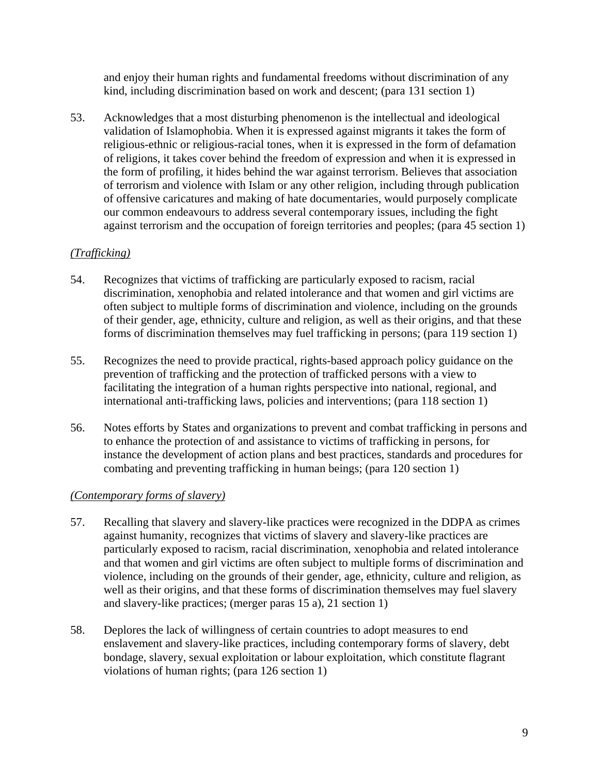and enjoy their human rights and fundamental freedoms without discrimination of any kind, including discrimination based on work and descent; (para 131 section 1)

53. Acknowledges that a most disturbing phenomenon is the intellectual and ideological validation of Islamophobia. When it is expressed against migrants it takes the form of religious-ethnic or religious-racial tones, when it is expressed in the form of defamation of religions, it takes cover behind the freedom of expression and when it is expressed in the form of profiling, it hides behind the war against terrorism. Believes that association of terrorism and violence with Islam or any other religion, including through publication of offensive caricatures and making of hate documentaries, would purposely complicate our common endeavours to address several contemporary issues, including the fight against terrorism and the occupation of foreign territories and peoples; (para 45 section 1)

# *(Trafficking)*

- 54. Recognizes that victims of trafficking are particularly exposed to racism, racial discrimination, xenophobia and related intolerance and that women and girl victims are often subject to multiple forms of discrimination and violence, including on the grounds of their gender, age, ethnicity, culture and religion, as well as their origins, and that these forms of discrimination themselves may fuel trafficking in persons; (para 119 section 1)
- 55. Recognizes the need to provide practical, rights-based approach policy guidance on the prevention of trafficking and the protection of trafficked persons with a view to facilitating the integration of a human rights perspective into national, regional, and international anti-trafficking laws, policies and interventions; (para 118 section 1)
- 56. Notes efforts by States and organizations to prevent and combat trafficking in persons and to enhance the protection of and assistance to victims of trafficking in persons, for instance the development of action plans and best practices, standards and procedures for combating and preventing trafficking in human beings; (para 120 section 1)

# *(Contemporary forms of slavery)*

- 57. Recalling that slavery and slavery-like practices were recognized in the DDPA as crimes against humanity, recognizes that victims of slavery and slavery-like practices are particularly exposed to racism, racial discrimination, xenophobia and related intolerance and that women and girl victims are often subject to multiple forms of discrimination and violence, including on the grounds of their gender, age, ethnicity, culture and religion, as well as their origins, and that these forms of discrimination themselves may fuel slavery and slavery-like practices; (merger paras 15 a), 21 section 1)
- 58. Deplores the lack of willingness of certain countries to adopt measures to end enslavement and slavery-like practices, including contemporary forms of slavery, debt bondage, slavery, sexual exploitation or labour exploitation, which constitute flagrant violations of human rights; (para 126 section 1)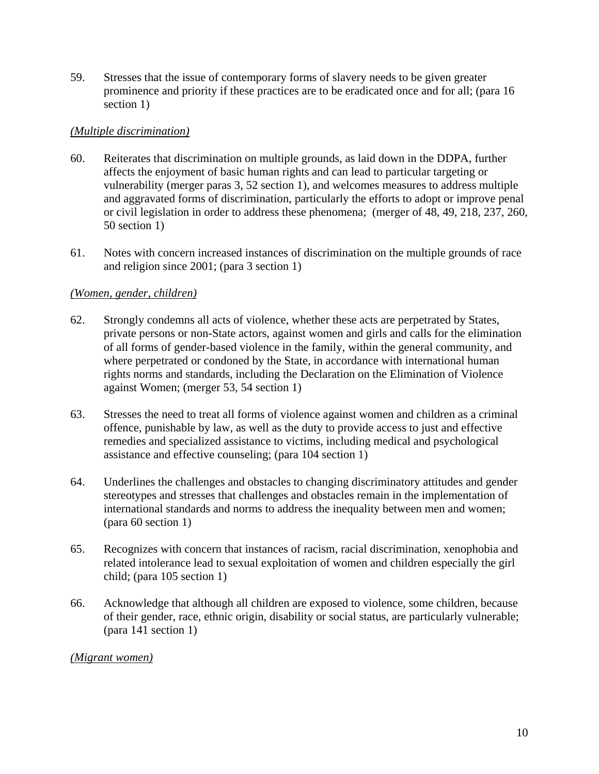59. Stresses that the issue of contemporary forms of slavery needs to be given greater prominence and priority if these practices are to be eradicated once and for all; (para 16 section 1)

### *(Multiple discrimination)*

- 60. Reiterates that discrimination on multiple grounds, as laid down in the DDPA, further affects the enjoyment of basic human rights and can lead to particular targeting or vulnerability (merger paras 3, 52 section 1), and welcomes measures to address multiple and aggravated forms of discrimination, particularly the efforts to adopt or improve penal or civil legislation in order to address these phenomena; (merger of 48, 49, 218, 237, 260, 50 section 1)
- 61. Notes with concern increased instances of discrimination on the multiple grounds of race and religion since 2001; (para 3 section 1)

# *(Women, gender, children)*

- 62. Strongly condemns all acts of violence, whether these acts are perpetrated by States, private persons or non-State actors, against women and girls and calls for the elimination of all forms of gender-based violence in the family, within the general community, and where perpetrated or condoned by the State, in accordance with international human rights norms and standards, including the Declaration on the Elimination of Violence against Women; (merger 53, 54 section 1)
- 63. Stresses the need to treat all forms of violence against women and children as a criminal offence, punishable by law, as well as the duty to provide access to just and effective remedies and specialized assistance to victims, including medical and psychological assistance and effective counseling; (para 104 section 1)
- 64. Underlines the challenges and obstacles to changing discriminatory attitudes and gender stereotypes and stresses that challenges and obstacles remain in the implementation of international standards and norms to address the inequality between men and women; (para 60 section 1)
- 65. Recognizes with concern that instances of racism, racial discrimination, xenophobia and related intolerance lead to sexual exploitation of women and children especially the girl child; (para 105 section 1)
- 66. Acknowledge that although all children are exposed to violence, some children, because of their gender, race, ethnic origin, disability or social status, are particularly vulnerable; (para 141 section 1)

#### *(Migrant women)*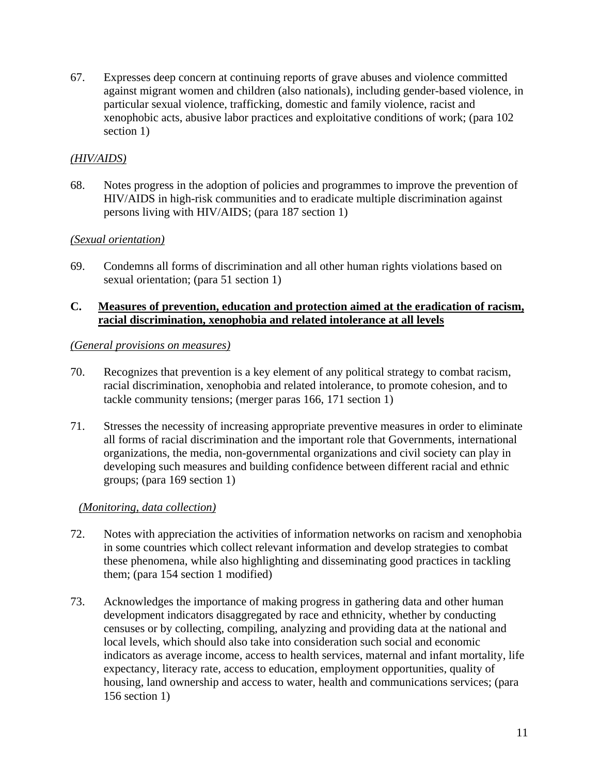67. Expresses deep concern at continuing reports of grave abuses and violence committed against migrant women and children (also nationals), including gender-based violence, in particular sexual violence, trafficking, domestic and family violence, racist and xenophobic acts, abusive labor practices and exploitative conditions of work; (para 102 section 1)

# *(HIV/AIDS)*

68. Notes progress in the adoption of policies and programmes to improve the prevention of HIV/AIDS in high-risk communities and to eradicate multiple discrimination against persons living with HIV/AIDS; (para 187 section 1)

### *(Sexual orientation)*

69. Condemns all forms of discrimination and all other human rights violations based on sexual orientation; (para 51 section 1)

### **C. Measures of prevention, education and protection aimed at the eradication of racism, racial discrimination, xenophobia and related intolerance at all levels**

#### *(General provisions on measures)*

- 70. Recognizes that prevention is a key element of any political strategy to combat racism, racial discrimination, xenophobia and related intolerance, to promote cohesion, and to tackle community tensions; (merger paras 166, 171 section 1)
- 71. Stresses the necessity of increasing appropriate preventive measures in order to eliminate all forms of racial discrimination and the important role that Governments, international organizations, the media, non-governmental organizations and civil society can play in developing such measures and building confidence between different racial and ethnic groups; (para 169 section 1)

# *(Monitoring, data collection)*

- 72. Notes with appreciation the activities of information networks on racism and xenophobia in some countries which collect relevant information and develop strategies to combat these phenomena, while also highlighting and disseminating good practices in tackling them; (para 154 section 1 modified)
- 73. Acknowledges the importance of making progress in gathering data and other human development indicators disaggregated by race and ethnicity, whether by conducting censuses or by collecting, compiling, analyzing and providing data at the national and local levels, which should also take into consideration such social and economic indicators as average income, access to health services, maternal and infant mortality, life expectancy, literacy rate, access to education, employment opportunities, quality of housing, land ownership and access to water, health and communications services; (para 156 section 1)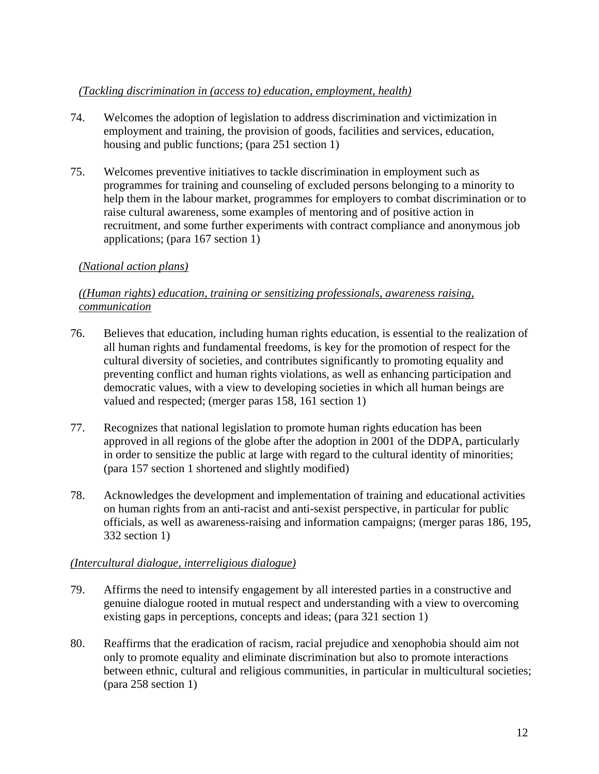# *(Tackling discrimination in (access to) education, employment, health)*

- 74. Welcomes the adoption of legislation to address discrimination and victimization in employment and training, the provision of goods, facilities and services, education, housing and public functions; (para 251 section 1)
- 75. Welcomes preventive initiatives to tackle discrimination in employment such as programmes for training and counseling of excluded persons belonging to a minority to help them in the labour market, programmes for employers to combat discrimination or to raise cultural awareness, some examples of mentoring and of positive action in recruitment, and some further experiments with contract compliance and anonymous job applications; (para 167 section 1)

# *(National action plans)*

# *((Human rights) education, training or sensitizing professionals, awareness raising, communication*

- 76. Believes that education, including human rights education, is essential to the realization of all human rights and fundamental freedoms, is key for the promotion of respect for the cultural diversity of societies, and contributes significantly to promoting equality and preventing conflict and human rights violations, as well as enhancing participation and democratic values, with a view to developing societies in which all human beings are valued and respected; (merger paras 158, 161 section 1)
- 77. Recognizes that national legislation to promote human rights education has been approved in all regions of the globe after the adoption in 2001 of the DDPA, particularly in order to sensitize the public at large with regard to the cultural identity of minorities; (para 157 section 1 shortened and slightly modified)
- 78. Acknowledges the development and implementation of training and educational activities on human rights from an anti-racist and anti-sexist perspective, in particular for public officials, as well as awareness-raising and information campaigns; (merger paras 186, 195, 332 section 1)

# *(Intercultural dialogue, interreligious dialogue)*

- 79. Affirms the need to intensify engagement by all interested parties in a constructive and genuine dialogue rooted in mutual respect and understanding with a view to overcoming existing gaps in perceptions, concepts and ideas; (para 321 section 1)
- 80. Reaffirms that the eradication of racism, racial prejudice and xenophobia should aim not only to promote equality and eliminate discrimination but also to promote interactions between ethnic, cultural and religious communities, in particular in multicultural societies; (para 258 section 1)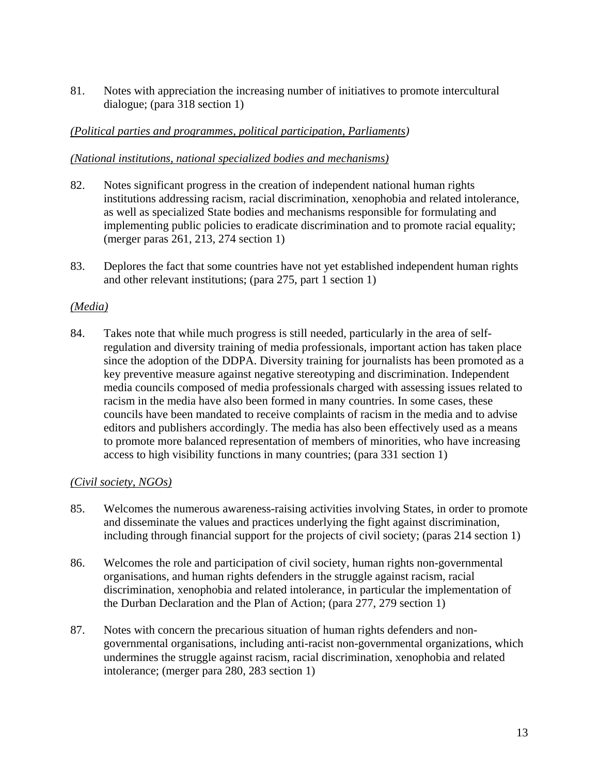81. Notes with appreciation the increasing number of initiatives to promote intercultural dialogue; (para 318 section 1)

# *(Political parties and programmes, political participation, Parliaments)*

# *(National institutions, national specialized bodies and mechanisms)*

- 82. Notes significant progress in the creation of independent national human rights institutions addressing racism, racial discrimination, xenophobia and related intolerance, as well as specialized State bodies and mechanisms responsible for formulating and implementing public policies to eradicate discrimination and to promote racial equality; (merger paras 261, 213, 274 section 1)
- 83. Deplores the fact that some countries have not yet established independent human rights and other relevant institutions; (para 275, part 1 section 1)

# *(Media)*

84. Takes note that while much progress is still needed, particularly in the area of selfregulation and diversity training of media professionals, important action has taken place since the adoption of the DDPA. Diversity training for journalists has been promoted as a key preventive measure against negative stereotyping and discrimination. Independent media councils composed of media professionals charged with assessing issues related to racism in the media have also been formed in many countries. In some cases, these councils have been mandated to receive complaints of racism in the media and to advise editors and publishers accordingly. The media has also been effectively used as a means to promote more balanced representation of members of minorities, who have increasing access to high visibility functions in many countries; (para 331 section 1)

# *(Civil society, NGOs)*

- 85. Welcomes the numerous awareness-raising activities involving States, in order to promote and disseminate the values and practices underlying the fight against discrimination, including through financial support for the projects of civil society; (paras 214 section 1)
- 86. Welcomes the role and participation of civil society, human rights non-governmental organisations, and human rights defenders in the struggle against racism, racial discrimination, xenophobia and related intolerance, in particular the implementation of the Durban Declaration and the Plan of Action; (para 277, 279 section 1)
- 87. Notes with concern the precarious situation of human rights defenders and nongovernmental organisations, including anti-racist non-governmental organizations, which undermines the struggle against racism, racial discrimination, xenophobia and related intolerance; (merger para 280, 283 section 1)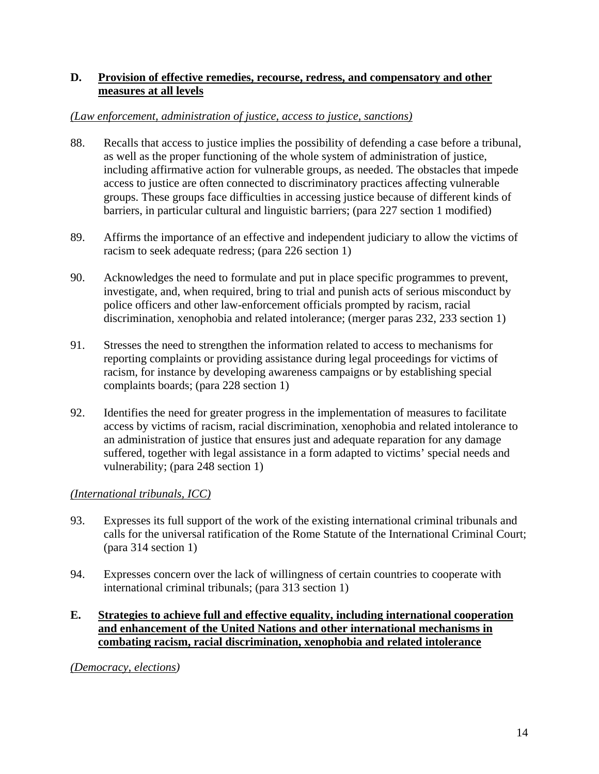# **D. Provision of effective remedies, recourse, redress, and compensatory and other measures at all levels**

### *(Law enforcement, administration of justice, access to justice, sanctions)*

- 88. Recalls that access to justice implies the possibility of defending a case before a tribunal, as well as the proper functioning of the whole system of administration of justice, including affirmative action for vulnerable groups, as needed. The obstacles that impede access to justice are often connected to discriminatory practices affecting vulnerable groups. These groups face difficulties in accessing justice because of different kinds of barriers, in particular cultural and linguistic barriers; (para 227 section 1 modified)
- 89. Affirms the importance of an effective and independent judiciary to allow the victims of racism to seek adequate redress; (para 226 section 1)
- 90. Acknowledges the need to formulate and put in place specific programmes to prevent, investigate, and, when required, bring to trial and punish acts of serious misconduct by police officers and other law-enforcement officials prompted by racism, racial discrimination, xenophobia and related intolerance; (merger paras 232, 233 section 1)
- 91. Stresses the need to strengthen the information related to access to mechanisms for reporting complaints or providing assistance during legal proceedings for victims of racism, for instance by developing awareness campaigns or by establishing special complaints boards; (para 228 section 1)
- 92. Identifies the need for greater progress in the implementation of measures to facilitate access by victims of racism, racial discrimination, xenophobia and related intolerance to an administration of justice that ensures just and adequate reparation for any damage suffered, together with legal assistance in a form adapted to victims' special needs and vulnerability; (para 248 section 1)

# *(International tribunals, ICC)*

- 93. Expresses its full support of the work of the existing international criminal tribunals and calls for the universal ratification of the Rome Statute of the International Criminal Court; (para 314 section 1)
- 94. Expresses concern over the lack of willingness of certain countries to cooperate with international criminal tribunals; (para 313 section 1)

# **E. Strategies to achieve full and effective equality, including international cooperation and enhancement of the United Nations and other international mechanisms in combating racism, racial discrimination, xenophobia and related intolerance**

*(Democracy, elections)*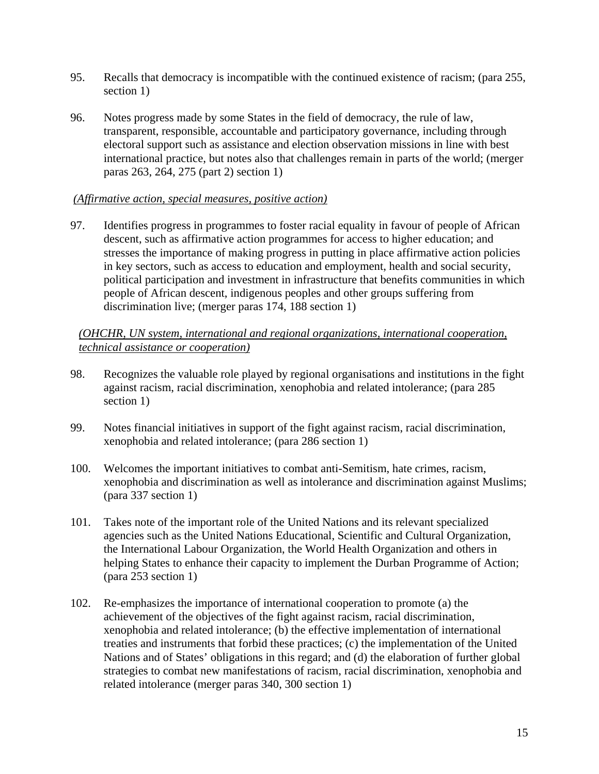- 95. Recalls that democracy is incompatible with the continued existence of racism; (para 255, section 1)
- 96. Notes progress made by some States in the field of democracy, the rule of law, transparent, responsible, accountable and participatory governance, including through electoral support such as assistance and election observation missions in line with best international practice, but notes also that challenges remain in parts of the world; (merger paras 263, 264, 275 (part 2) section 1)

### *(Affirmative action, special measures, positive action)*

97. Identifies progress in programmes to foster racial equality in favour of people of African descent, such as affirmative action programmes for access to higher education; and stresses the importance of making progress in putting in place affirmative action policies in key sectors, such as access to education and employment, health and social security, political participation and investment in infrastructure that benefits communities in which people of African descent, indigenous peoples and other groups suffering from discrimination live; (merger paras 174, 188 section 1)

# *(OHCHR, UN system, international and regional organizations, international cooperation, technical assistance or cooperation)*

- 98. Recognizes the valuable role played by regional organisations and institutions in the fight against racism, racial discrimination, xenophobia and related intolerance; (para 285 section 1)
- 99. Notes financial initiatives in support of the fight against racism, racial discrimination, xenophobia and related intolerance; (para 286 section 1)
- 100. Welcomes the important initiatives to combat anti-Semitism, hate crimes, racism, xenophobia and discrimination as well as intolerance and discrimination against Muslims; (para 337 section 1)
- 101. Takes note of the important role of the United Nations and its relevant specialized agencies such as the United Nations Educational, Scientific and Cultural Organization, the International Labour Organization, the World Health Organization and others in helping States to enhance their capacity to implement the Durban Programme of Action; (para 253 section 1)
- 102. Re-emphasizes the importance of international cooperation to promote (a) the achievement of the objectives of the fight against racism, racial discrimination, xenophobia and related intolerance; (b) the effective implementation of international treaties and instruments that forbid these practices; (c) the implementation of the United Nations and of States' obligations in this regard; and (d) the elaboration of further global strategies to combat new manifestations of racism, racial discrimination, xenophobia and related intolerance (merger paras 340, 300 section 1)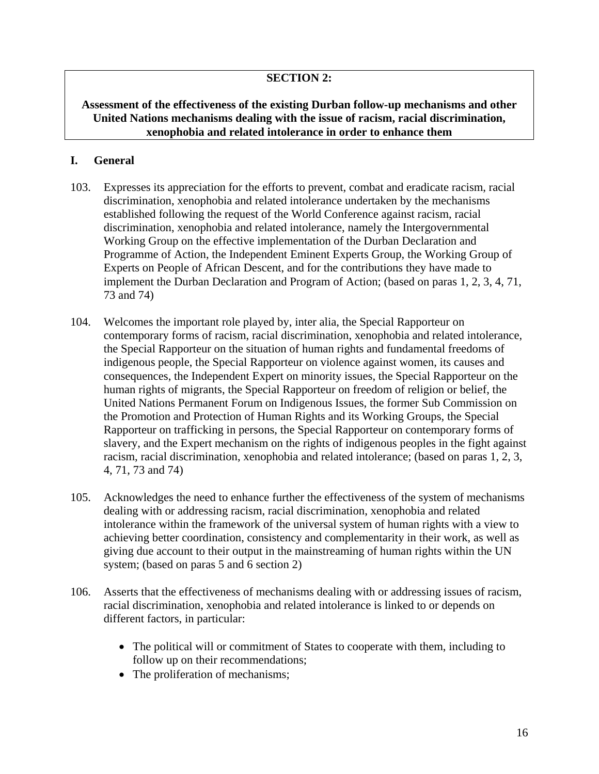# **SECTION 2:**

# **Assessment of the effectiveness of the existing Durban follow-up mechanisms and other United Nations mechanisms dealing with the issue of racism, racial discrimination, xenophobia and related intolerance in order to enhance them**

### **I. General**

- 103. Expresses its appreciation for the efforts to prevent, combat and eradicate racism, racial discrimination, xenophobia and related intolerance undertaken by the mechanisms established following the request of the World Conference against racism, racial discrimination, xenophobia and related intolerance, namely the Intergovernmental Working Group on the effective implementation of the Durban Declaration and Programme of Action, the Independent Eminent Experts Group, the Working Group of Experts on People of African Descent, and for the contributions they have made to implement the Durban Declaration and Program of Action; (based on paras 1, 2, 3, 4, 71, 73 and 74)
- 104. Welcomes the important role played by, inter alia, the Special Rapporteur on contemporary forms of racism, racial discrimination, xenophobia and related intolerance, the Special Rapporteur on the situation of human rights and fundamental freedoms of indigenous people, the Special Rapporteur on violence against women, its causes and consequences, the Independent Expert on minority issues, the Special Rapporteur on the human rights of migrants, the Special Rapporteur on freedom of religion or belief, the United Nations Permanent Forum on Indigenous Issues, the former Sub Commission on the Promotion and Protection of Human Rights and its Working Groups, the Special Rapporteur on trafficking in persons, the Special Rapporteur on contemporary forms of slavery, and the Expert mechanism on the rights of indigenous peoples in the fight against racism, racial discrimination, xenophobia and related intolerance; (based on paras 1, 2, 3, 4, 71, 73 and 74)
- 105. Acknowledges the need to enhance further the effectiveness of the system of mechanisms dealing with or addressing racism, racial discrimination, xenophobia and related intolerance within the framework of the universal system of human rights with a view to achieving better coordination, consistency and complementarity in their work, as well as giving due account to their output in the mainstreaming of human rights within the UN system; (based on paras 5 and 6 section 2)
- 106. Asserts that the effectiveness of mechanisms dealing with or addressing issues of racism, racial discrimination, xenophobia and related intolerance is linked to or depends on different factors, in particular:
	- The political will or commitment of States to cooperate with them, including to follow up on their recommendations;
	- The proliferation of mechanisms;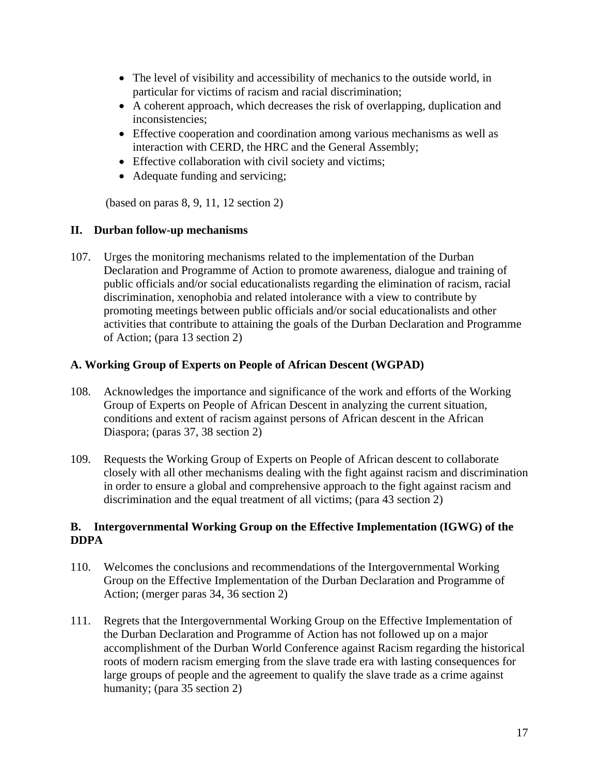- The level of visibility and accessibility of mechanics to the outside world, in particular for victims of racism and racial discrimination;
- A coherent approach, which decreases the risk of overlapping, duplication and inconsistencies;
- Effective cooperation and coordination among various mechanisms as well as interaction with CERD, the HRC and the General Assembly;
- Effective collaboration with civil society and victims;
- Adequate funding and servicing;

(based on paras 8, 9, 11, 12 section 2)

# **II. Durban follow-up mechanisms**

107. Urges the monitoring mechanisms related to the implementation of the Durban Declaration and Programme of Action to promote awareness, dialogue and training of public officials and/or social educationalists regarding the elimination of racism, racial discrimination, xenophobia and related intolerance with a view to contribute by promoting meetings between public officials and/or social educationalists and other activities that contribute to attaining the goals of the Durban Declaration and Programme of Action; (para 13 section 2)

# **A. Working Group of Experts on People of African Descent (WGPAD)**

- 108. Acknowledges the importance and significance of the work and efforts of the Working Group of Experts on People of African Descent in analyzing the current situation, conditions and extent of racism against persons of African descent in the African Diaspora; (paras 37, 38 section 2)
- 109. Requests the Working Group of Experts on People of African descent to collaborate closely with all other mechanisms dealing with the fight against racism and discrimination in order to ensure a global and comprehensive approach to the fight against racism and discrimination and the equal treatment of all victims; (para 43 section 2)

# **B. Intergovernmental Working Group on the Effective Implementation (IGWG) of the DDPA**

- 110. Welcomes the conclusions and recommendations of the Intergovernmental Working Group on the Effective Implementation of the Durban Declaration and Programme of Action; (merger paras 34, 36 section 2)
- 111. Regrets that the Intergovernmental Working Group on the Effective Implementation of the Durban Declaration and Programme of Action has not followed up on a major accomplishment of the Durban World Conference against Racism regarding the historical roots of modern racism emerging from the slave trade era with lasting consequences for large groups of people and the agreement to qualify the slave trade as a crime against humanity; (para 35 section 2)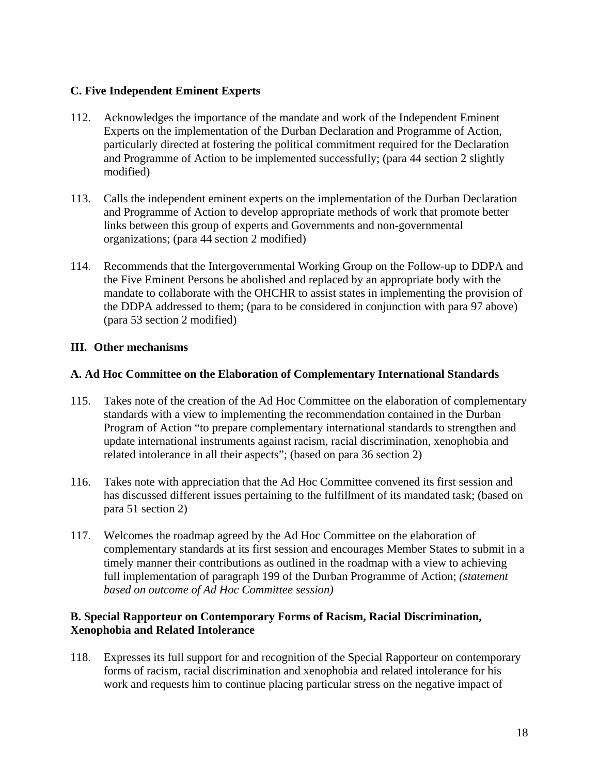# **C. Five Independent Eminent Experts**

- 112. Acknowledges the importance of the mandate and work of the Independent Eminent Experts on the implementation of the Durban Declaration and Programme of Action, particularly directed at fostering the political commitment required for the Declaration and Programme of Action to be implemented successfully; (para 44 section 2 slightly modified)
- 113. Calls the independent eminent experts on the implementation of the Durban Declaration and Programme of Action to develop appropriate methods of work that promote better links between this group of experts and Governments and non-governmental organizations; (para 44 section 2 modified)
- 114. Recommends that the Intergovernmental Working Group on the Follow-up to DDPA and the Five Eminent Persons be abolished and replaced by an appropriate body with the mandate to collaborate with the OHCHR to assist states in implementing the provision of the DDPA addressed to them; (para to be considered in conjunction with para 97 above) (para 53 section 2 modified)

# **III. Other mechanisms**

# **A. Ad Hoc Committee on the Elaboration of Complementary International Standards**

- 115. Takes note of the creation of the Ad Hoc Committee on the elaboration of complementary standards with a view to implementing the recommendation contained in the Durban Program of Action "to prepare complementary international standards to strengthen and update international instruments against racism, racial discrimination, xenophobia and related intolerance in all their aspects"; (based on para 36 section 2)
- 116. Takes note with appreciation that the Ad Hoc Committee convened its first session and has discussed different issues pertaining to the fulfillment of its mandated task; (based on para 51 section 2)
- 117. Welcomes the roadmap agreed by the Ad Hoc Committee on the elaboration of complementary standards at its first session and encourages Member States to submit in a timely manner their contributions as outlined in the roadmap with a view to achieving full implementation of paragraph 199 of the Durban Programme of Action; *(statement based on outcome of Ad Hoc Committee session)*

### **B. Special Rapporteur on Contemporary Forms of Racism, Racial Discrimination, Xenophobia and Related Intolerance**

118. Expresses its full support for and recognition of the Special Rapporteur on contemporary forms of racism, racial discrimination and xenophobia and related intolerance for his work and requests him to continue placing particular stress on the negative impact of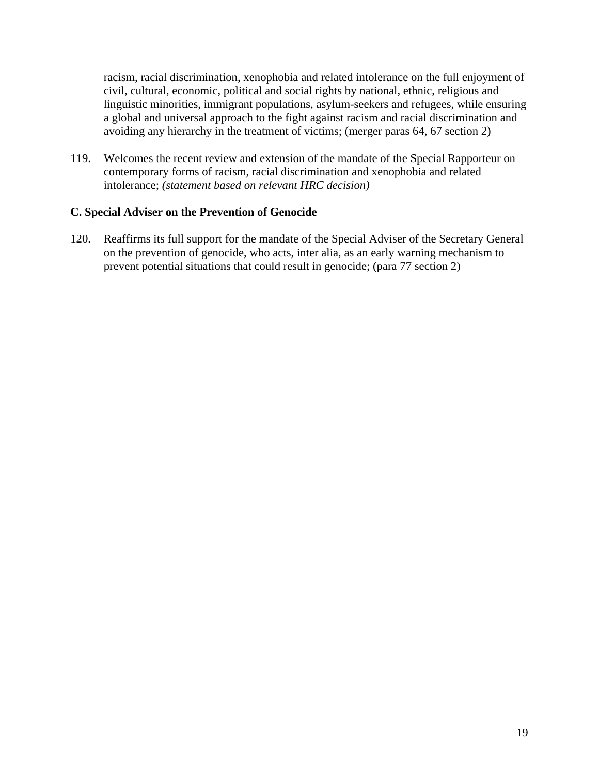racism, racial discrimination, xenophobia and related intolerance on the full enjoyment of civil, cultural, economic, political and social rights by national, ethnic, religious and linguistic minorities, immigrant populations, asylum-seekers and refugees, while ensuring a global and universal approach to the fight against racism and racial discrimination and avoiding any hierarchy in the treatment of victims; (merger paras 64, 67 section 2)

119. Welcomes the recent review and extension of the mandate of the Special Rapporteur on contemporary forms of racism, racial discrimination and xenophobia and related intolerance; *(statement based on relevant HRC decision)*

### **C. Special Adviser on the Prevention of Genocide**

120. Reaffirms its full support for the mandate of the Special Adviser of the Secretary General on the prevention of genocide, who acts, inter alia, as an early warning mechanism to prevent potential situations that could result in genocide; (para 77 section 2)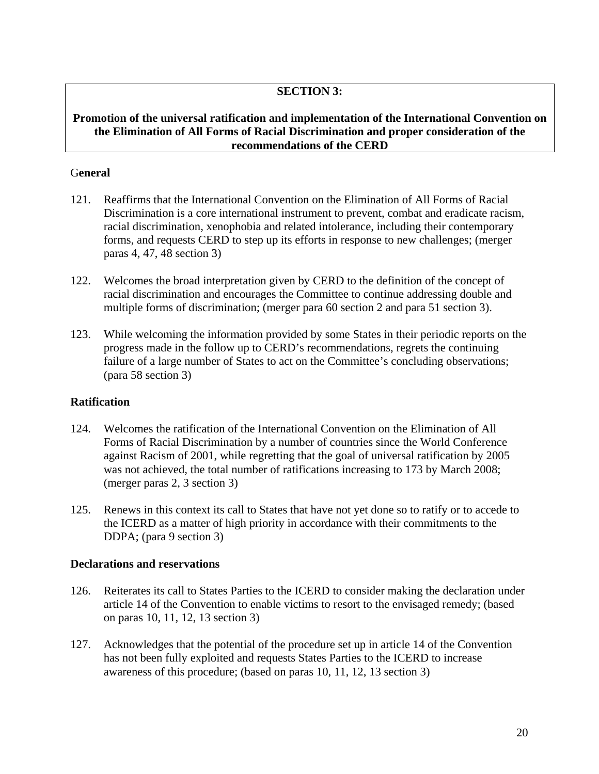### **SECTION 3:**

#### **Promotion of the universal ratification and implementation of the International Convention on the Elimination of All Forms of Racial Discrimination and proper consideration of the recommendations of the CERD**

#### G**eneral**

- 121. Reaffirms that the International Convention on the Elimination of All Forms of Racial Discrimination is a core international instrument to prevent, combat and eradicate racism, racial discrimination, xenophobia and related intolerance, including their contemporary forms, and requests CERD to step up its efforts in response to new challenges; (merger paras 4, 47, 48 section 3)
- 122. Welcomes the broad interpretation given by CERD to the definition of the concept of racial discrimination and encourages the Committee to continue addressing double and multiple forms of discrimination; (merger para 60 section 2 and para 51 section 3).
- 123. While welcoming the information provided by some States in their periodic reports on the progress made in the follow up to CERD's recommendations, regrets the continuing failure of a large number of States to act on the Committee's concluding observations; (para 58 section 3)

# **Ratification**

- 124. Welcomes the ratification of the International Convention on the Elimination of All Forms of Racial Discrimination by a number of countries since the World Conference against Racism of 2001, while regretting that the goal of universal ratification by 2005 was not achieved, the total number of ratifications increasing to 173 by March 2008; (merger paras 2, 3 section 3)
- 125. Renews in this context its call to States that have not yet done so to ratify or to accede to the ICERD as a matter of high priority in accordance with their commitments to the DDPA; (para 9 section 3)

# **Declarations and reservations**

- 126. Reiterates its call to States Parties to the ICERD to consider making the declaration under article 14 of the Convention to enable victims to resort to the envisaged remedy; (based on paras 10, 11, 12, 13 section 3)
- 127. Acknowledges that the potential of the procedure set up in article 14 of the Convention has not been fully exploited and requests States Parties to the ICERD to increase awareness of this procedure; (based on paras 10, 11, 12, 13 section 3)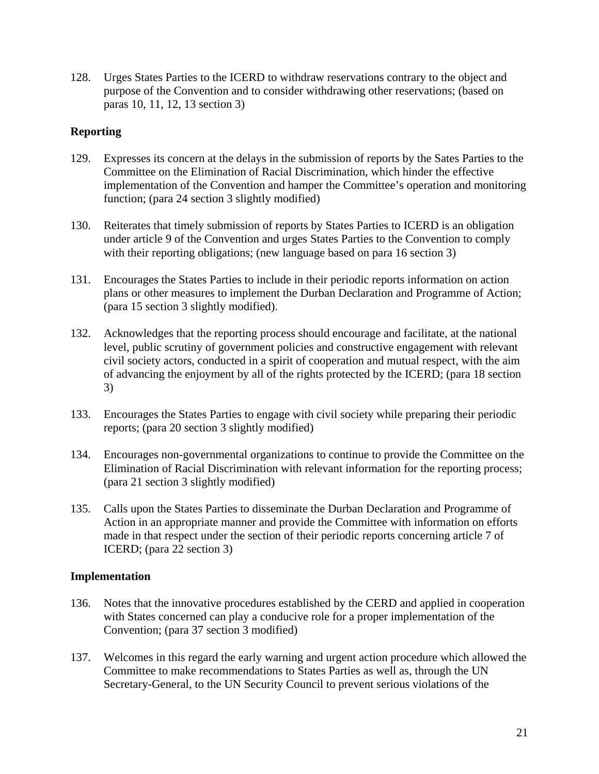128. Urges States Parties to the ICERD to withdraw reservations contrary to the object and purpose of the Convention and to consider withdrawing other reservations; (based on paras 10, 11, 12, 13 section 3)

### **Reporting**

- 129. Expresses its concern at the delays in the submission of reports by the Sates Parties to the Committee on the Elimination of Racial Discrimination, which hinder the effective implementation of the Convention and hamper the Committee's operation and monitoring function; (para 24 section 3 slightly modified)
- 130. Reiterates that timely submission of reports by States Parties to ICERD is an obligation under article 9 of the Convention and urges States Parties to the Convention to comply with their reporting obligations; (new language based on para 16 section 3)
- 131. Encourages the States Parties to include in their periodic reports information on action plans or other measures to implement the Durban Declaration and Programme of Action; (para 15 section 3 slightly modified).
- 132. Acknowledges that the reporting process should encourage and facilitate, at the national level, public scrutiny of government policies and constructive engagement with relevant civil society actors, conducted in a spirit of cooperation and mutual respect, with the aim of advancing the enjoyment by all of the rights protected by the ICERD; (para 18 section 3)
- 133. Encourages the States Parties to engage with civil society while preparing their periodic reports; (para 20 section 3 slightly modified)
- 134. Encourages non-governmental organizations to continue to provide the Committee on the Elimination of Racial Discrimination with relevant information for the reporting process; (para 21 section 3 slightly modified)
- 135. Calls upon the States Parties to disseminate the Durban Declaration and Programme of Action in an appropriate manner and provide the Committee with information on efforts made in that respect under the section of their periodic reports concerning article 7 of ICERD; (para 22 section 3)

#### **Implementation**

- 136. Notes that the innovative procedures established by the CERD and applied in cooperation with States concerned can play a conducive role for a proper implementation of the Convention; (para 37 section 3 modified)
- 137. Welcomes in this regard the early warning and urgent action procedure which allowed the Committee to make recommendations to States Parties as well as, through the UN Secretary-General, to the UN Security Council to prevent serious violations of the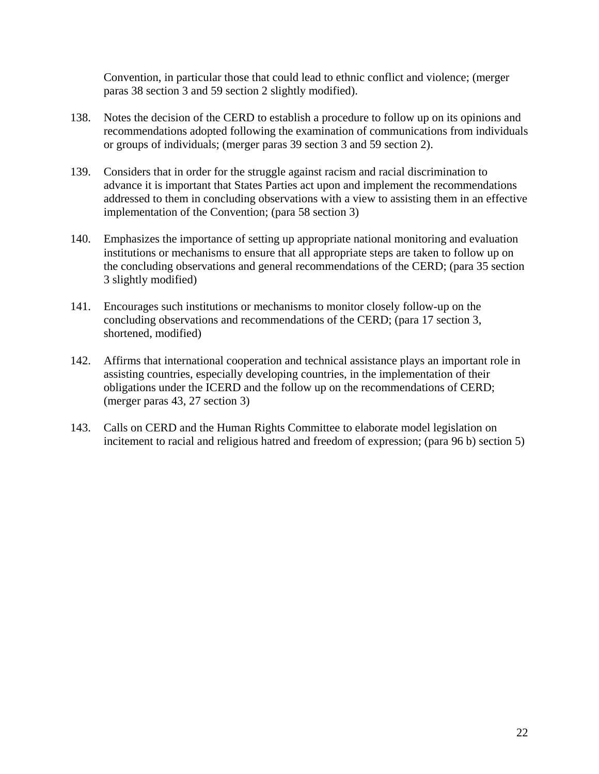Convention, in particular those that could lead to ethnic conflict and violence; (merger paras 38 section 3 and 59 section 2 slightly modified).

- 138. Notes the decision of the CERD to establish a procedure to follow up on its opinions and recommendations adopted following the examination of communications from individuals or groups of individuals; (merger paras 39 section 3 and 59 section 2).
- 139. Considers that in order for the struggle against racism and racial discrimination to advance it is important that States Parties act upon and implement the recommendations addressed to them in concluding observations with a view to assisting them in an effective implementation of the Convention; (para 58 section 3)
- 140. Emphasizes the importance of setting up appropriate national monitoring and evaluation institutions or mechanisms to ensure that all appropriate steps are taken to follow up on the concluding observations and general recommendations of the CERD; (para 35 section 3 slightly modified)
- 141. Encourages such institutions or mechanisms to monitor closely follow-up on the concluding observations and recommendations of the CERD; (para 17 section 3, shortened, modified)
- 142. Affirms that international cooperation and technical assistance plays an important role in assisting countries, especially developing countries, in the implementation of their obligations under the ICERD and the follow up on the recommendations of CERD; (merger paras 43, 27 section 3)
- 143. Calls on CERD and the Human Rights Committee to elaborate model legislation on incitement to racial and religious hatred and freedom of expression; (para 96 b) section 5)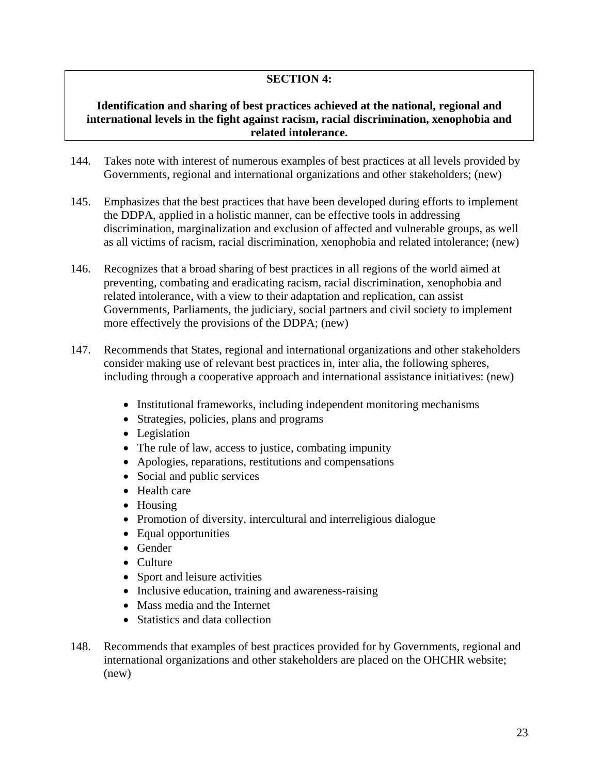# **SECTION 4:**

#### **Identification and sharing of best practices achieved at the national, regional and international levels in the fight against racism, racial discrimination, xenophobia and related intolerance.**

- 144. Takes note with interest of numerous examples of best practices at all levels provided by Governments, regional and international organizations and other stakeholders; (new)
- 145. Emphasizes that the best practices that have been developed during efforts to implement the DDPA, applied in a holistic manner, can be effective tools in addressing discrimination, marginalization and exclusion of affected and vulnerable groups, as well as all victims of racism, racial discrimination, xenophobia and related intolerance; (new)
- 146. Recognizes that a broad sharing of best practices in all regions of the world aimed at preventing, combating and eradicating racism, racial discrimination, xenophobia and related intolerance, with a view to their adaptation and replication, can assist Governments, Parliaments, the judiciary, social partners and civil society to implement more effectively the provisions of the DDPA; (new)
- 147. Recommends that States, regional and international organizations and other stakeholders consider making use of relevant best practices in, inter alia, the following spheres, including through a cooperative approach and international assistance initiatives: (new)
	- Institutional frameworks, including independent monitoring mechanisms
	- Strategies, policies, plans and programs
	- Legislation
	- The rule of law, access to justice, combating impunity
	- Apologies, reparations, restitutions and compensations
	- Social and public services
	- Health care
	- Housing
	- Promotion of diversity, intercultural and interreligious dialogue
	- Equal opportunities
	- Gender
	- Culture
	- Sport and leisure activities
	- Inclusive education, training and awareness-raising
	- Mass media and the Internet
	- Statistics and data collection
- 148. Recommends that examples of best practices provided for by Governments, regional and international organizations and other stakeholders are placed on the OHCHR website; (new)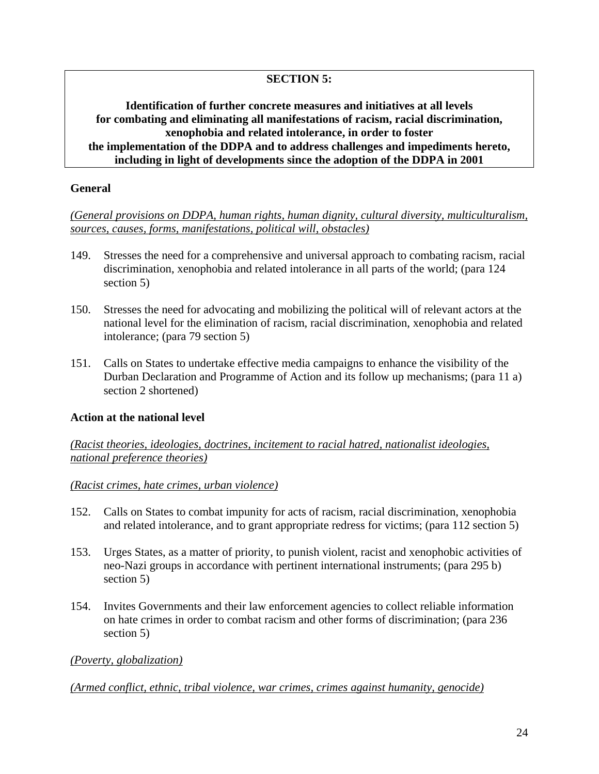# **SECTION 5:**

### **Identification of further concrete measures and initiatives at all levels for combating and eliminating all manifestations of racism, racial discrimination, xenophobia and related intolerance, in order to foster the implementation of the DDPA and to address challenges and impediments hereto, including in light of developments since the adoption of the DDPA in 2001**

#### **General**

*(General provisions on DDPA, human rights, human dignity, cultural diversity, multiculturalism, sources, causes, forms, manifestations, political will, obstacles)*

- 149. Stresses the need for a comprehensive and universal approach to combating racism, racial discrimination, xenophobia and related intolerance in all parts of the world; (para 124 section 5)
- 150. Stresses the need for advocating and mobilizing the political will of relevant actors at the national level for the elimination of racism, racial discrimination, xenophobia and related intolerance; (para 79 section 5)
- 151. Calls on States to undertake effective media campaigns to enhance the visibility of the Durban Declaration and Programme of Action and its follow up mechanisms; (para 11 a) section 2 shortened)

# **Action at the national level**

*(Racist theories, ideologies, doctrines, incitement to racial hatred, nationalist ideologies, national preference theories)*

#### *(Racist crimes, hate crimes, urban violence)*

- 152. Calls on States to combat impunity for acts of racism, racial discrimination, xenophobia and related intolerance, and to grant appropriate redress for victims; (para 112 section 5)
- 153. Urges States, as a matter of priority, to punish violent, racist and xenophobic activities of neo-Nazi groups in accordance with pertinent international instruments; (para 295 b) section 5)
- 154. Invites Governments and their law enforcement agencies to collect reliable information on hate crimes in order to combat racism and other forms of discrimination; (para 236 section 5)

#### *(Poverty, globalization)*

*(Armed conflict, ethnic, tribal violence, war crimes, crimes against humanity, genocide)*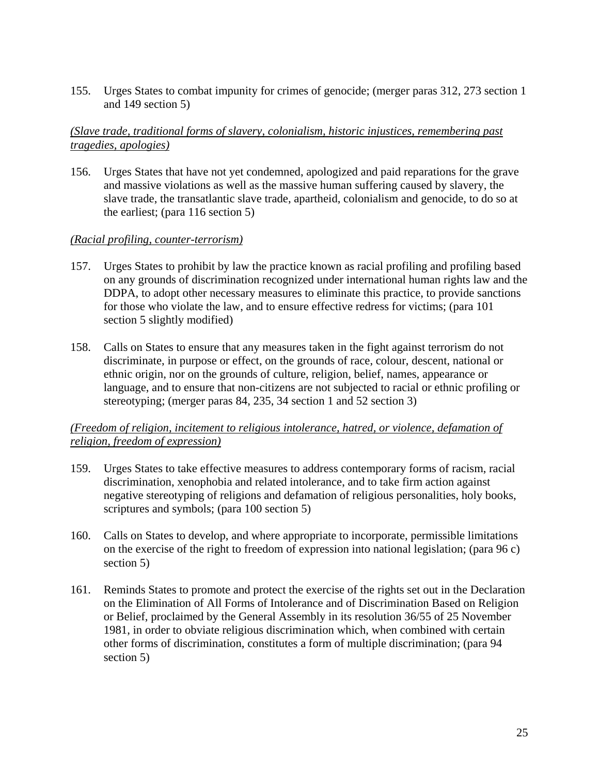155. Urges States to combat impunity for crimes of genocide; (merger paras 312, 273 section 1 and 149 section 5)

### *(Slave trade, traditional forms of slavery, colonialism, historic injustices, remembering past tragedies, apologies)*

156. Urges States that have not yet condemned, apologized and paid reparations for the grave and massive violations as well as the massive human suffering caused by slavery, the slave trade, the transatlantic slave trade, apartheid, colonialism and genocide, to do so at the earliest; (para 116 section 5)

### *(Racial profiling, counter-terrorism)*

- 157. Urges States to prohibit by law the practice known as racial profiling and profiling based on any grounds of discrimination recognized under international human rights law and the DDPA, to adopt other necessary measures to eliminate this practice, to provide sanctions for those who violate the law, and to ensure effective redress for victims; (para 101 section 5 slightly modified)
- 158. Calls on States to ensure that any measures taken in the fight against terrorism do not discriminate, in purpose or effect, on the grounds of race, colour, descent, national or ethnic origin, nor on the grounds of culture, religion, belief, names, appearance or language, and to ensure that non-citizens are not subjected to racial or ethnic profiling or stereotyping; (merger paras 84, 235, 34 section 1 and 52 section 3)

# *(Freedom of religion, incitement to religious intolerance, hatred, or violence, defamation of religion, freedom of expression)*

- 159. Urges States to take effective measures to address contemporary forms of racism, racial discrimination, xenophobia and related intolerance, and to take firm action against negative stereotyping of religions and defamation of religious personalities, holy books, scriptures and symbols; (para 100 section 5)
- 160. Calls on States to develop, and where appropriate to incorporate, permissible limitations on the exercise of the right to freedom of expression into national legislation; (para 96 c) section 5)
- 161. Reminds States to promote and protect the exercise of the rights set out in the Declaration on the Elimination of All Forms of Intolerance and of Discrimination Based on Religion or Belief, proclaimed by the General Assembly in its resolution 36/55 of 25 November 1981, in order to obviate religious discrimination which, when combined with certain other forms of discrimination, constitutes a form of multiple discrimination; (para 94 section 5)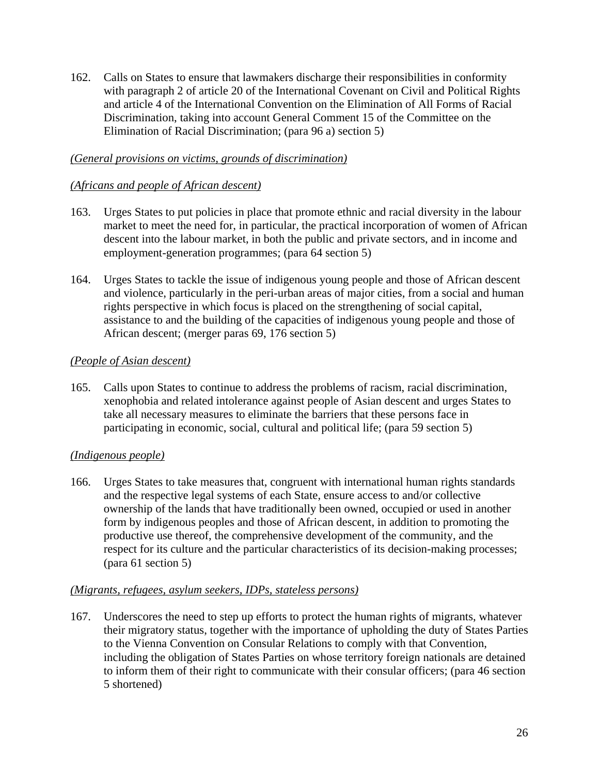162. Calls on States to ensure that lawmakers discharge their responsibilities in conformity with paragraph 2 of article 20 of the International Covenant on Civil and Political Rights and article 4 of the International Convention on the Elimination of All Forms of Racial Discrimination, taking into account General Comment 15 of the Committee on the Elimination of Racial Discrimination; (para 96 a) section 5)

### *(General provisions on victims, grounds of discrimination)*

#### *(Africans and people of African descent)*

- 163. Urges States to put policies in place that promote ethnic and racial diversity in the labour market to meet the need for, in particular, the practical incorporation of women of African descent into the labour market, in both the public and private sectors, and in income and employment-generation programmes; (para 64 section 5)
- 164. Urges States to tackle the issue of indigenous young people and those of African descent and violence, particularly in the peri-urban areas of major cities, from a social and human rights perspective in which focus is placed on the strengthening of social capital, assistance to and the building of the capacities of indigenous young people and those of African descent; (merger paras 69, 176 section 5)

#### *(People of Asian descent)*

165. Calls upon States to continue to address the problems of racism, racial discrimination, xenophobia and related intolerance against people of Asian descent and urges States to take all necessary measures to eliminate the barriers that these persons face in participating in economic, social, cultural and political life; (para 59 section 5)

# *(Indigenous people)*

166. Urges States to take measures that, congruent with international human rights standards and the respective legal systems of each State, ensure access to and/or collective ownership of the lands that have traditionally been owned, occupied or used in another form by indigenous peoples and those of African descent, in addition to promoting the productive use thereof, the comprehensive development of the community, and the respect for its culture and the particular characteristics of its decision-making processes; (para 61 section 5)

#### *(Migrants, refugees, asylum seekers, IDPs, stateless persons)*

167. Underscores the need to step up efforts to protect the human rights of migrants, whatever their migratory status, together with the importance of upholding the duty of States Parties to the Vienna Convention on Consular Relations to comply with that Convention, including the obligation of States Parties on whose territory foreign nationals are detained to inform them of their right to communicate with their consular officers; (para 46 section 5 shortened)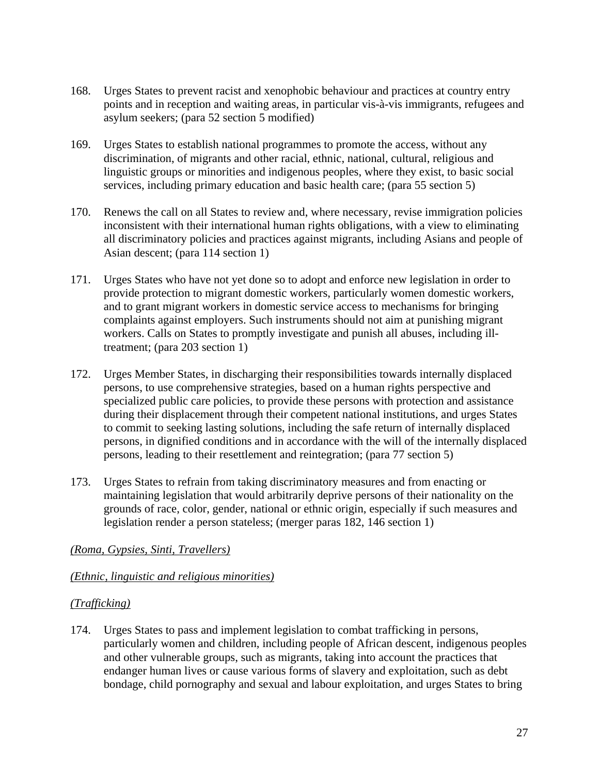- 168. Urges States to prevent racist and xenophobic behaviour and practices at country entry points and in reception and waiting areas, in particular vis-à-vis immigrants, refugees and asylum seekers; (para 52 section 5 modified)
- 169. Urges States to establish national programmes to promote the access, without any discrimination, of migrants and other racial, ethnic, national, cultural, religious and linguistic groups or minorities and indigenous peoples, where they exist, to basic social services, including primary education and basic health care; (para 55 section 5)
- 170. Renews the call on all States to review and, where necessary, revise immigration policies inconsistent with their international human rights obligations, with a view to eliminating all discriminatory policies and practices against migrants, including Asians and people of Asian descent; (para 114 section 1)
- 171. Urges States who have not yet done so to adopt and enforce new legislation in order to provide protection to migrant domestic workers, particularly women domestic workers, and to grant migrant workers in domestic service access to mechanisms for bringing complaints against employers. Such instruments should not aim at punishing migrant workers. Calls on States to promptly investigate and punish all abuses, including illtreatment; (para 203 section 1)
- 172. Urges Member States, in discharging their responsibilities towards internally displaced persons, to use comprehensive strategies, based on a human rights perspective and specialized public care policies, to provide these persons with protection and assistance during their displacement through their competent national institutions, and urges States to commit to seeking lasting solutions, including the safe return of internally displaced persons, in dignified conditions and in accordance with the will of the internally displaced persons, leading to their resettlement and reintegration; (para 77 section 5)
- 173. Urges States to refrain from taking discriminatory measures and from enacting or maintaining legislation that would arbitrarily deprive persons of their nationality on the grounds of race, color, gender, national or ethnic origin, especially if such measures and legislation render a person stateless; (merger paras 182, 146 section 1)

# *(Roma, Gypsies, Sinti, Travellers)*

#### *(Ethnic, linguistic and religious minorities)*

# *(Trafficking)*

174. Urges States to pass and implement legislation to combat trafficking in persons, particularly women and children, including people of African descent, indigenous peoples and other vulnerable groups, such as migrants, taking into account the practices that endanger human lives or cause various forms of slavery and exploitation, such as debt bondage, child pornography and sexual and labour exploitation, and urges States to bring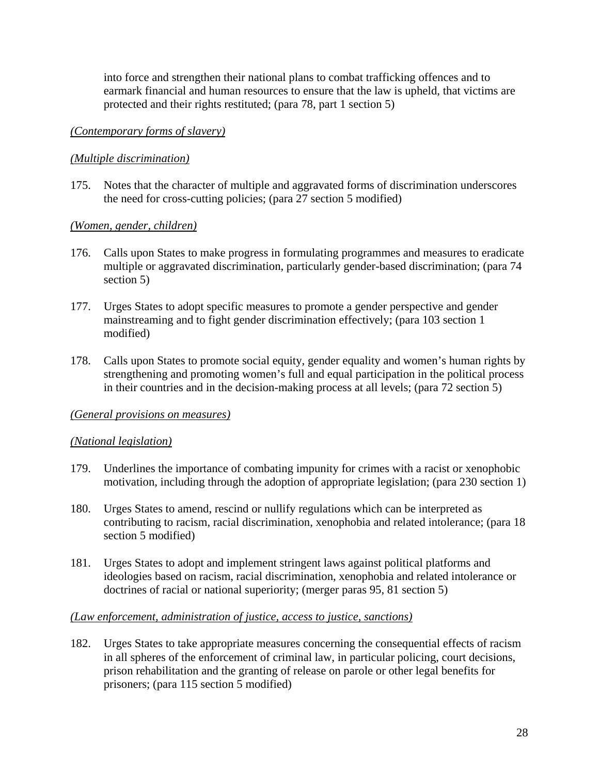into force and strengthen their national plans to combat trafficking offences and to earmark financial and human resources to ensure that the law is upheld, that victims are protected and their rights restituted; (para 78, part 1 section 5)

### *(Contemporary forms of slavery)*

### *(Multiple discrimination)*

175. Notes that the character of multiple and aggravated forms of discrimination underscores the need for cross-cutting policies; (para 27 section 5 modified)

### *(Women, gender, children)*

- 176. Calls upon States to make progress in formulating programmes and measures to eradicate multiple or aggravated discrimination, particularly gender-based discrimination; (para 74 section 5)
- 177. Urges States to adopt specific measures to promote a gender perspective and gender mainstreaming and to fight gender discrimination effectively; (para 103 section 1 modified)
- 178. Calls upon States to promote social equity, gender equality and women's human rights by strengthening and promoting women's full and equal participation in the political process in their countries and in the decision-making process at all levels; (para 72 section 5)

#### *(General provisions on measures)*

#### *(National legislation)*

- 179. Underlines the importance of combating impunity for crimes with a racist or xenophobic motivation, including through the adoption of appropriate legislation; (para 230 section 1)
- 180. Urges States to amend, rescind or nullify regulations which can be interpreted as contributing to racism, racial discrimination, xenophobia and related intolerance; (para 18 section 5 modified)
- 181. Urges States to adopt and implement stringent laws against political platforms and ideologies based on racism, racial discrimination, xenophobia and related intolerance or doctrines of racial or national superiority; (merger paras 95, 81 section 5)

#### *(Law enforcement, administration of justice, access to justice, sanctions)*

182. Urges States to take appropriate measures concerning the consequential effects of racism in all spheres of the enforcement of criminal law, in particular policing, court decisions, prison rehabilitation and the granting of release on parole or other legal benefits for prisoners; (para 115 section 5 modified)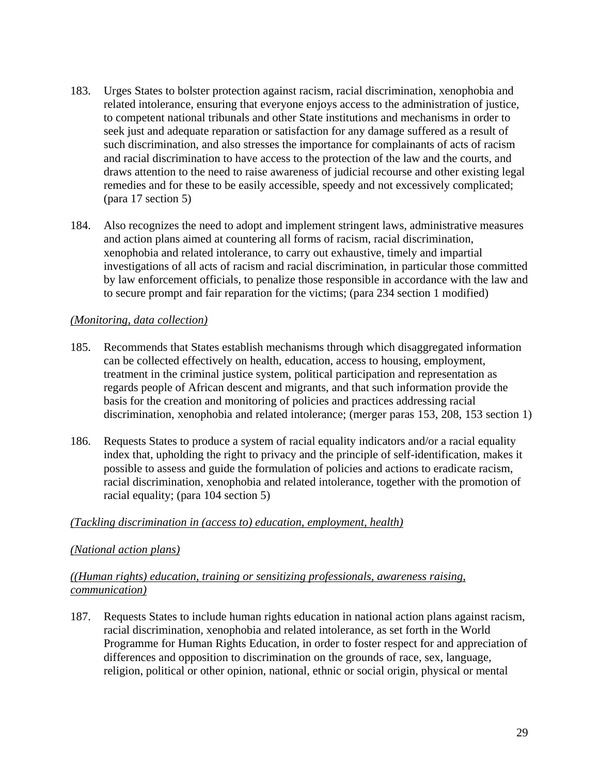- 183. Urges States to bolster protection against racism, racial discrimination, xenophobia and related intolerance, ensuring that everyone enjoys access to the administration of justice, to competent national tribunals and other State institutions and mechanisms in order to seek just and adequate reparation or satisfaction for any damage suffered as a result of such discrimination, and also stresses the importance for complainants of acts of racism and racial discrimination to have access to the protection of the law and the courts, and draws attention to the need to raise awareness of judicial recourse and other existing legal remedies and for these to be easily accessible, speedy and not excessively complicated; (para 17 section 5)
- 184. Also recognizes the need to adopt and implement stringent laws, administrative measures and action plans aimed at countering all forms of racism, racial discrimination, xenophobia and related intolerance, to carry out exhaustive, timely and impartial investigations of all acts of racism and racial discrimination, in particular those committed by law enforcement officials, to penalize those responsible in accordance with the law and to secure prompt and fair reparation for the victims; (para 234 section 1 modified)

# *(Monitoring, data collection)*

- 185. Recommends that States establish mechanisms through which disaggregated information can be collected effectively on health, education, access to housing, employment, treatment in the criminal justice system, political participation and representation as regards people of African descent and migrants, and that such information provide the basis for the creation and monitoring of policies and practices addressing racial discrimination, xenophobia and related intolerance; (merger paras 153, 208, 153 section 1)
- 186. Requests States to produce a system of racial equality indicators and/or a racial equality index that, upholding the right to privacy and the principle of self-identification, makes it possible to assess and guide the formulation of policies and actions to eradicate racism, racial discrimination, xenophobia and related intolerance, together with the promotion of racial equality; (para 104 section 5)

# *(Tackling discrimination in (access to) education, employment, health)*

# *(National action plans)*

### *((Human rights) education, training or sensitizing professionals, awareness raising, communication)*

187. Requests States to include human rights education in national action plans against racism, racial discrimination, xenophobia and related intolerance, as set forth in the World Programme for Human Rights Education, in order to foster respect for and appreciation of differences and opposition to discrimination on the grounds of race, sex, language, religion, political or other opinion, national, ethnic or social origin, physical or mental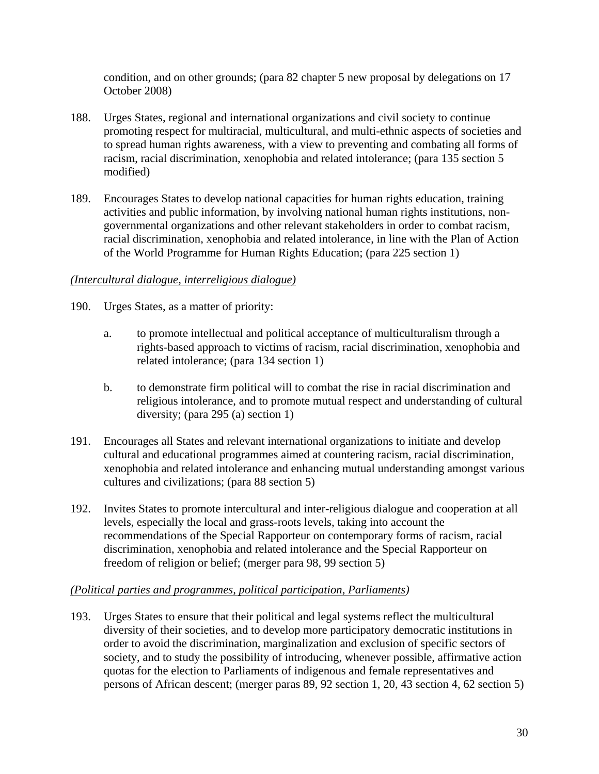condition, and on other grounds; (para 82 chapter 5 new proposal by delegations on 17 October 2008)

- 188. Urges States, regional and international organizations and civil society to continue promoting respect for multiracial, multicultural, and multi-ethnic aspects of societies and to spread human rights awareness, with a view to preventing and combating all forms of racism, racial discrimination, xenophobia and related intolerance; (para 135 section 5 modified)
- 189. Encourages States to develop national capacities for human rights education, training activities and public information, by involving national human rights institutions, nongovernmental organizations and other relevant stakeholders in order to combat racism, racial discrimination, xenophobia and related intolerance, in line with the Plan of Action of the World Programme for Human Rights Education; (para 225 section 1)

### *(Intercultural dialogue, interreligious dialogue)*

- 190. Urges States, as a matter of priority:
	- a. to promote intellectual and political acceptance of multiculturalism through a rights-based approach to victims of racism, racial discrimination, xenophobia and related intolerance; (para 134 section 1)
	- b. to demonstrate firm political will to combat the rise in racial discrimination and religious intolerance, and to promote mutual respect and understanding of cultural diversity; (para 295 (a) section 1)
- 191. Encourages all States and relevant international organizations to initiate and develop cultural and educational programmes aimed at countering racism, racial discrimination, xenophobia and related intolerance and enhancing mutual understanding amongst various cultures and civilizations; (para 88 section 5)
- 192. Invites States to promote intercultural and inter-religious dialogue and cooperation at all levels, especially the local and grass-roots levels, taking into account the recommendations of the Special Rapporteur on contemporary forms of racism, racial discrimination, xenophobia and related intolerance and the Special Rapporteur on freedom of religion or belief; (merger para 98, 99 section 5)

#### *(Political parties and programmes, political participation, Parliaments)*

193. Urges States to ensure that their political and legal systems reflect the multicultural diversity of their societies, and to develop more participatory democratic institutions in order to avoid the discrimination, marginalization and exclusion of specific sectors of society, and to study the possibility of introducing, whenever possible, affirmative action quotas for the election to Parliaments of indigenous and female representatives and persons of African descent; (merger paras 89, 92 section 1, 20, 43 section 4, 62 section 5)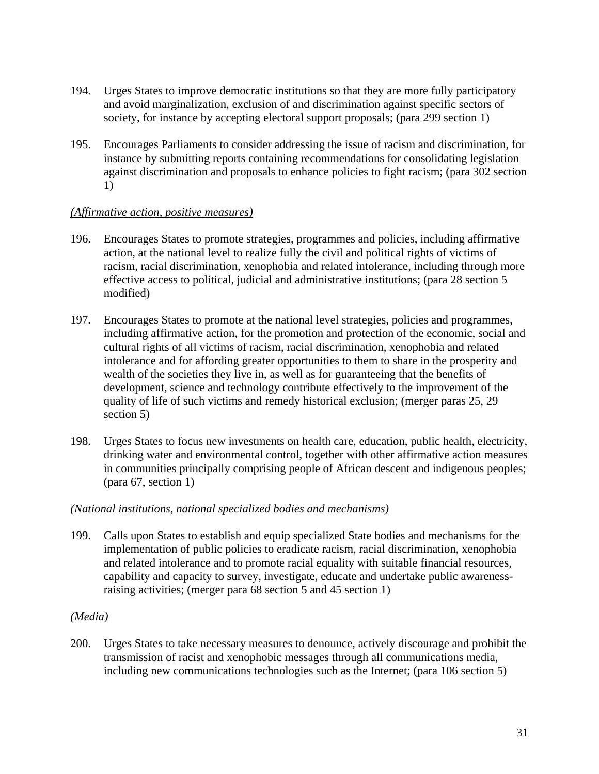- 194. Urges States to improve democratic institutions so that they are more fully participatory and avoid marginalization, exclusion of and discrimination against specific sectors of society, for instance by accepting electoral support proposals; (para 299 section 1)
- 195. Encourages Parliaments to consider addressing the issue of racism and discrimination, for instance by submitting reports containing recommendations for consolidating legislation against discrimination and proposals to enhance policies to fight racism; (para 302 section 1)

### *(Affirmative action, positive measures)*

- 196. Encourages States to promote strategies, programmes and policies, including affirmative action, at the national level to realize fully the civil and political rights of victims of racism, racial discrimination, xenophobia and related intolerance, including through more effective access to political, judicial and administrative institutions; (para 28 section 5 modified)
- 197. Encourages States to promote at the national level strategies, policies and programmes, including affirmative action, for the promotion and protection of the economic, social and cultural rights of all victims of racism, racial discrimination, xenophobia and related intolerance and for affording greater opportunities to them to share in the prosperity and wealth of the societies they live in, as well as for guaranteeing that the benefits of development, science and technology contribute effectively to the improvement of the quality of life of such victims and remedy historical exclusion; (merger paras 25, 29 section 5)
- 198. Urges States to focus new investments on health care, education, public health, electricity, drinking water and environmental control, together with other affirmative action measures in communities principally comprising people of African descent and indigenous peoples; (para 67, section 1)

# *(National institutions, national specialized bodies and mechanisms)*

199. Calls upon States to establish and equip specialized State bodies and mechanisms for the implementation of public policies to eradicate racism, racial discrimination, xenophobia and related intolerance and to promote racial equality with suitable financial resources, capability and capacity to survey, investigate, educate and undertake public awarenessraising activities; (merger para 68 section 5 and 45 section 1)

#### *(Media)*

200. Urges States to take necessary measures to denounce, actively discourage and prohibit the transmission of racist and xenophobic messages through all communications media, including new communications technologies such as the Internet; (para 106 section 5)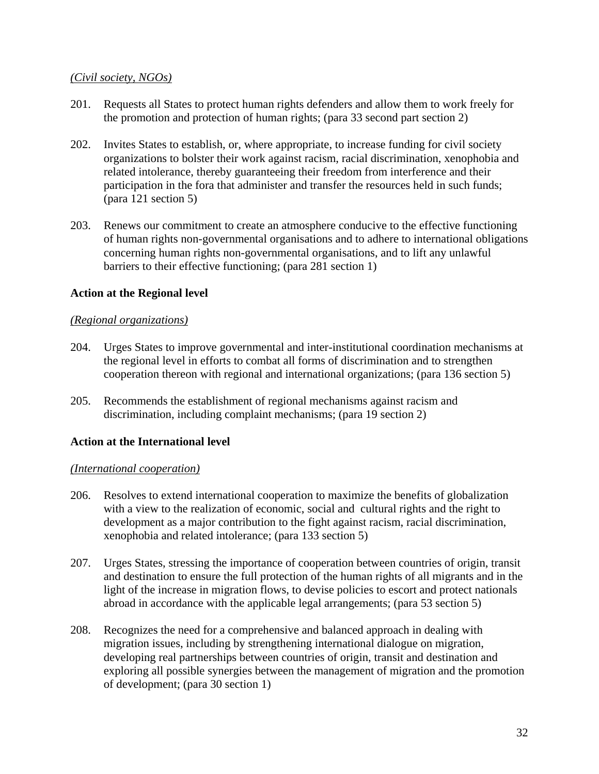### *(Civil society, NGOs)*

- 201. Requests all States to protect human rights defenders and allow them to work freely for the promotion and protection of human rights; (para 33 second part section 2)
- 202. Invites States to establish, or, where appropriate, to increase funding for civil society organizations to bolster their work against racism, racial discrimination, xenophobia and related intolerance, thereby guaranteeing their freedom from interference and their participation in the fora that administer and transfer the resources held in such funds; (para 121 section 5)
- 203. Renews our commitment to create an atmosphere conducive to the effective functioning of human rights non-governmental organisations and to adhere to international obligations concerning human rights non-governmental organisations, and to lift any unlawful barriers to their effective functioning; (para 281 section 1)

### **Action at the Regional level**

#### *(Regional organizations)*

- 204. Urges States to improve governmental and inter-institutional coordination mechanisms at the regional level in efforts to combat all forms of discrimination and to strengthen cooperation thereon with regional and international organizations; (para 136 section 5)
- 205. Recommends the establishment of regional mechanisms against racism and discrimination, including complaint mechanisms; (para 19 section 2)

#### **Action at the International level**

#### *(International cooperation)*

- 206. Resolves to extend international cooperation to maximize the benefits of globalization with a view to the realization of economic, social and cultural rights and the right to development as a major contribution to the fight against racism, racial discrimination, xenophobia and related intolerance; (para 133 section 5)
- 207. Urges States, stressing the importance of cooperation between countries of origin, transit and destination to ensure the full protection of the human rights of all migrants and in the light of the increase in migration flows, to devise policies to escort and protect nationals abroad in accordance with the applicable legal arrangements; (para 53 section 5)
- 208. Recognizes the need for a comprehensive and balanced approach in dealing with migration issues, including by strengthening international dialogue on migration, developing real partnerships between countries of origin, transit and destination and exploring all possible synergies between the management of migration and the promotion of development; (para 30 section 1)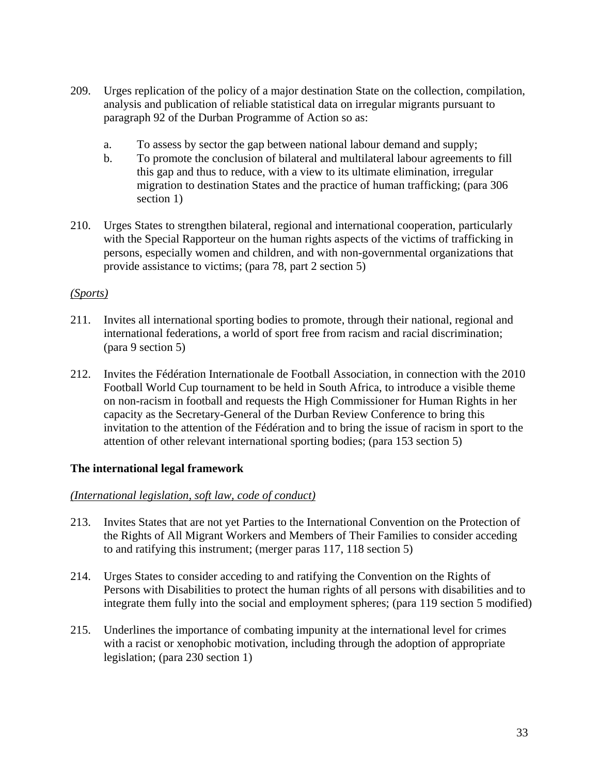- 209. Urges replication of the policy of a major destination State on the collection, compilation, analysis and publication of reliable statistical data on irregular migrants pursuant to paragraph 92 of the Durban Programme of Action so as:
	- a. To assess by sector the gap between national labour demand and supply;
	- b. To promote the conclusion of bilateral and multilateral labour agreements to fill this gap and thus to reduce, with a view to its ultimate elimination, irregular migration to destination States and the practice of human trafficking; (para 306 section 1)
- 210. Urges States to strengthen bilateral, regional and international cooperation, particularly with the Special Rapporteur on the human rights aspects of the victims of trafficking in persons, especially women and children, and with non-governmental organizations that provide assistance to victims; (para 78, part 2 section 5)

#### *(Sports)*

- 211. Invites all international sporting bodies to promote, through their national, regional and international federations, a world of sport free from racism and racial discrimination; (para 9 section 5)
- 212. Invites the Fédération Internationale de Football Association, in connection with the 2010 Football World Cup tournament to be held in South Africa, to introduce a visible theme on non-racism in football and requests the High Commissioner for Human Rights in her capacity as the Secretary-General of the Durban Review Conference to bring this invitation to the attention of the Fédération and to bring the issue of racism in sport to the attention of other relevant international sporting bodies; (para 153 section 5)

# **The international legal framework**

#### *(International legislation, soft law, code of conduct)*

- 213. Invites States that are not yet Parties to the International Convention on the Protection of the Rights of All Migrant Workers and Members of Their Families to consider acceding to and ratifying this instrument; (merger paras 117, 118 section 5)
- 214. Urges States to consider acceding to and ratifying the Convention on the Rights of Persons with Disabilities to protect the human rights of all persons with disabilities and to integrate them fully into the social and employment spheres; (para 119 section 5 modified)
- 215. Underlines the importance of combating impunity at the international level for crimes with a racist or xenophobic motivation, including through the adoption of appropriate legislation; (para 230 section 1)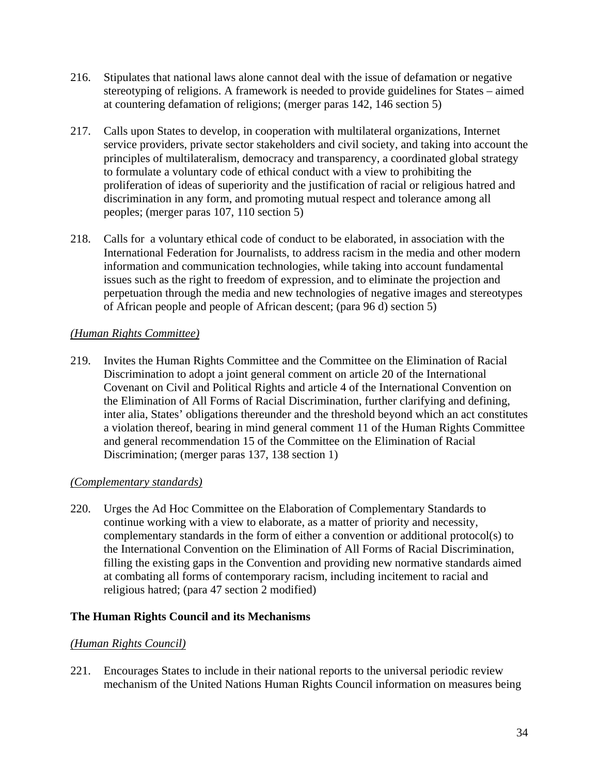- 216. Stipulates that national laws alone cannot deal with the issue of defamation or negative stereotyping of religions. A framework is needed to provide guidelines for States – aimed at countering defamation of religions; (merger paras 142, 146 section 5)
- 217. Calls upon States to develop, in cooperation with multilateral organizations, Internet service providers, private sector stakeholders and civil society, and taking into account the principles of multilateralism, democracy and transparency, a coordinated global strategy to formulate a voluntary code of ethical conduct with a view to prohibiting the proliferation of ideas of superiority and the justification of racial or religious hatred and discrimination in any form, and promoting mutual respect and tolerance among all peoples; (merger paras 107, 110 section 5)
- 218. Calls for a voluntary ethical code of conduct to be elaborated, in association with the International Federation for Journalists, to address racism in the media and other modern information and communication technologies, while taking into account fundamental issues such as the right to freedom of expression, and to eliminate the projection and perpetuation through the media and new technologies of negative images and stereotypes of African people and people of African descent; (para 96 d) section 5)

# *(Human Rights Committee)*

219. Invites the Human Rights Committee and the Committee on the Elimination of Racial Discrimination to adopt a joint general comment on article 20 of the International Covenant on Civil and Political Rights and article 4 of the International Convention on the Elimination of All Forms of Racial Discrimination, further clarifying and defining, inter alia, States' obligations thereunder and the threshold beyond which an act constitutes a violation thereof, bearing in mind general comment 11 of the Human Rights Committee and general recommendation 15 of the Committee on the Elimination of Racial Discrimination; (merger paras 137, 138 section 1)

# *(Complementary standards)*

220. Urges the Ad Hoc Committee on the Elaboration of Complementary Standards to continue working with a view to elaborate, as a matter of priority and necessity, complementary standards in the form of either a convention or additional protocol(s) to the International Convention on the Elimination of All Forms of Racial Discrimination, filling the existing gaps in the Convention and providing new normative standards aimed at combating all forms of contemporary racism, including incitement to racial and religious hatred; (para 47 section 2 modified)

# **The Human Rights Council and its Mechanisms**

# *(Human Rights Council)*

221. Encourages States to include in their national reports to the universal periodic review mechanism of the United Nations Human Rights Council information on measures being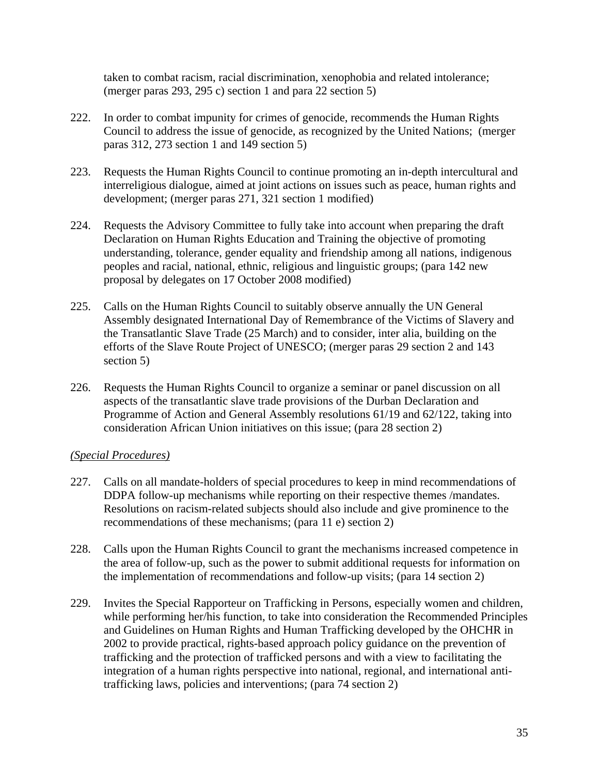taken to combat racism, racial discrimination, xenophobia and related intolerance; (merger paras 293, 295 c) section 1 and para 22 section 5)

- 222. In order to combat impunity for crimes of genocide, recommends the Human Rights Council to address the issue of genocide, as recognized by the United Nations; (merger paras 312, 273 section 1 and 149 section 5)
- 223. Requests the Human Rights Council to continue promoting an in-depth intercultural and interreligious dialogue, aimed at joint actions on issues such as peace, human rights and development; (merger paras 271, 321 section 1 modified)
- 224. Requests the Advisory Committee to fully take into account when preparing the draft Declaration on Human Rights Education and Training the objective of promoting understanding, tolerance, gender equality and friendship among all nations, indigenous peoples and racial, national, ethnic, religious and linguistic groups; (para 142 new proposal by delegates on 17 October 2008 modified)
- 225. Calls on the Human Rights Council to suitably observe annually the UN General Assembly designated International Day of Remembrance of the Victims of Slavery and the Transatlantic Slave Trade (25 March) and to consider, inter alia, building on the efforts of the Slave Route Project of UNESCO; (merger paras 29 section 2 and 143 section 5)
- 226. Requests the Human Rights Council to organize a seminar or panel discussion on all aspects of the transatlantic slave trade provisions of the Durban Declaration and Programme of Action and General Assembly resolutions 61/19 and 62/122, taking into consideration African Union initiatives on this issue; (para 28 section 2)

# *(Special Procedures)*

- 227. Calls on all mandate-holders of special procedures to keep in mind recommendations of DDPA follow-up mechanisms while reporting on their respective themes /mandates. Resolutions on racism-related subjects should also include and give prominence to the recommendations of these mechanisms; (para 11 e) section 2)
- 228. Calls upon the Human Rights Council to grant the mechanisms increased competence in the area of follow-up, such as the power to submit additional requests for information on the implementation of recommendations and follow-up visits; (para 14 section 2)
- 229. Invites the Special Rapporteur on Trafficking in Persons, especially women and children, while performing her/his function, to take into consideration the Recommended Principles and Guidelines on Human Rights and Human Trafficking developed by the OHCHR in 2002 to provide practical, rights-based approach policy guidance on the prevention of trafficking and the protection of trafficked persons and with a view to facilitating the integration of a human rights perspective into national, regional, and international antitrafficking laws, policies and interventions; (para 74 section 2)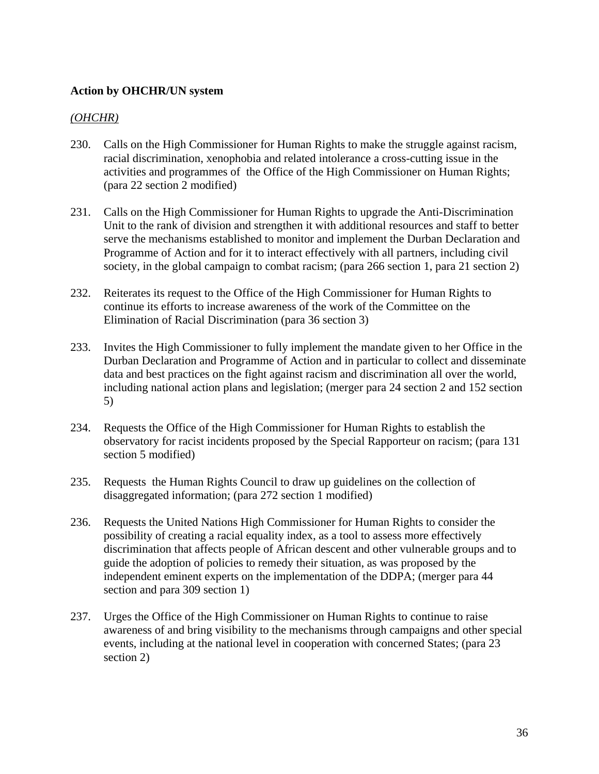### **Action by OHCHR/UN system**

### *(OHCHR)*

- 230. Calls on the High Commissioner for Human Rights to make the struggle against racism, racial discrimination, xenophobia and related intolerance a cross-cutting issue in the activities and programmes of the Office of the High Commissioner on Human Rights; (para 22 section 2 modified)
- 231. Calls on the High Commissioner for Human Rights to upgrade the Anti-Discrimination Unit to the rank of division and strengthen it with additional resources and staff to better serve the mechanisms established to monitor and implement the Durban Declaration and Programme of Action and for it to interact effectively with all partners, including civil society, in the global campaign to combat racism; (para 266 section 1, para 21 section 2)
- 232. Reiterates its request to the Office of the High Commissioner for Human Rights to continue its efforts to increase awareness of the work of the Committee on the Elimination of Racial Discrimination (para 36 section 3)
- 233. Invites the High Commissioner to fully implement the mandate given to her Office in the Durban Declaration and Programme of Action and in particular to collect and disseminate data and best practices on the fight against racism and discrimination all over the world, including national action plans and legislation; (merger para 24 section 2 and 152 section 5)
- 234. Requests the Office of the High Commissioner for Human Rights to establish the observatory for racist incidents proposed by the Special Rapporteur on racism; (para 131 section 5 modified)
- 235. Requests the Human Rights Council to draw up guidelines on the collection of disaggregated information; (para 272 section 1 modified)
- 236. Requests the United Nations High Commissioner for Human Rights to consider the possibility of creating a racial equality index, as a tool to assess more effectively discrimination that affects people of African descent and other vulnerable groups and to guide the adoption of policies to remedy their situation, as was proposed by the independent eminent experts on the implementation of the DDPA; (merger para 44 section and para 309 section 1)
- 237. Urges the Office of the High Commissioner on Human Rights to continue to raise awareness of and bring visibility to the mechanisms through campaigns and other special events, including at the national level in cooperation with concerned States; (para 23 section 2)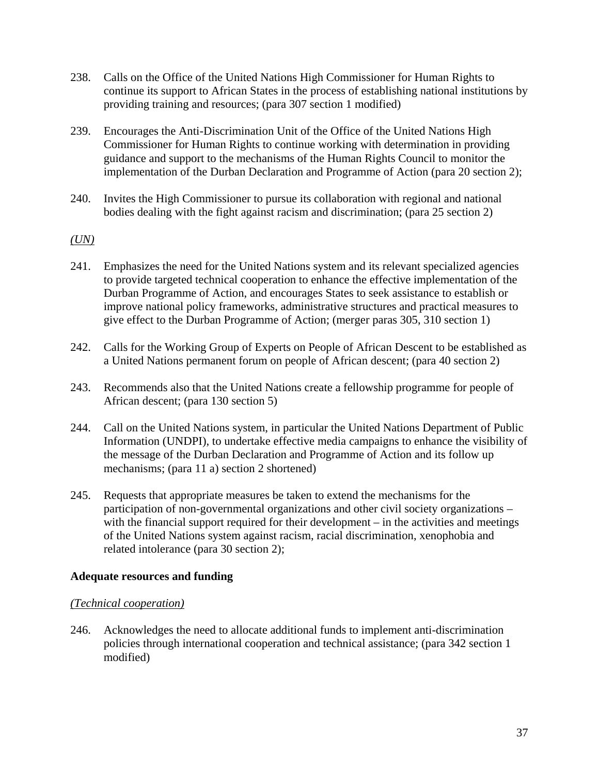- 238. Calls on the Office of the United Nations High Commissioner for Human Rights to continue its support to African States in the process of establishing national institutions by providing training and resources; (para 307 section 1 modified)
- 239. Encourages the Anti-Discrimination Unit of the Office of the United Nations High Commissioner for Human Rights to continue working with determination in providing guidance and support to the mechanisms of the Human Rights Council to monitor the implementation of the Durban Declaration and Programme of Action (para 20 section 2);
- 240. Invites the High Commissioner to pursue its collaboration with regional and national bodies dealing with the fight against racism and discrimination; (para 25 section 2)

### *(UN)*

- 241. Emphasizes the need for the United Nations system and its relevant specialized agencies to provide targeted technical cooperation to enhance the effective implementation of the Durban Programme of Action, and encourages States to seek assistance to establish or improve national policy frameworks, administrative structures and practical measures to give effect to the Durban Programme of Action; (merger paras 305, 310 section 1)
- 242. Calls for the Working Group of Experts on People of African Descent to be established as a United Nations permanent forum on people of African descent; (para 40 section 2)
- 243. Recommends also that the United Nations create a fellowship programme for people of African descent; (para 130 section 5)
- 244. Call on the United Nations system, in particular the United Nations Department of Public Information (UNDPI), to undertake effective media campaigns to enhance the visibility of the message of the Durban Declaration and Programme of Action and its follow up mechanisms; (para 11 a) section 2 shortened)
- 245. Requests that appropriate measures be taken to extend the mechanisms for the participation of non-governmental organizations and other civil society organizations – with the financial support required for their development – in the activities and meetings of the United Nations system against racism, racial discrimination, xenophobia and related intolerance (para 30 section 2);

#### **Adequate resources and funding**

#### *(Technical cooperation)*

246. Acknowledges the need to allocate additional funds to implement anti-discrimination policies through international cooperation and technical assistance; (para 342 section 1 modified)